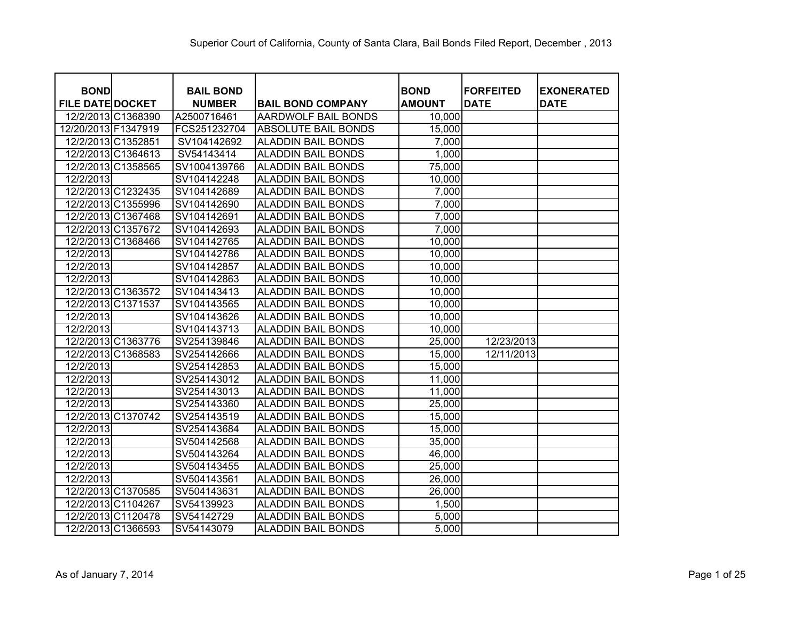| <b>BOND</b>             | <b>BAIL BOND</b> |                            | <b>BOND</b>   | <b>FORFEITED</b> | <b>EXONERATED</b> |
|-------------------------|------------------|----------------------------|---------------|------------------|-------------------|
| <b>FILE DATE DOCKET</b> | <b>NUMBER</b>    | <b>BAIL BOND COMPANY</b>   | <b>AMOUNT</b> | <b>DATE</b>      | <b>DATE</b>       |
| 12/2/2013 C1368390      | A2500716461      | AARDWOLF BAIL BONDS        | 10,000        |                  |                   |
| 12/20/2013 F1347919     | FCS251232704     | <b>ABSOLUTE BAIL BONDS</b> | 15,000        |                  |                   |
| 12/2/2013 C1352851      | SV104142692      | <b>ALADDIN BAIL BONDS</b>  | 7,000         |                  |                   |
| 12/2/2013 C1364613      | SV54143414       | <b>ALADDIN BAIL BONDS</b>  | 1,000         |                  |                   |
| 12/2/2013 C1358565      | SV1004139766     | <b>ALADDIN BAIL BONDS</b>  | 75,000        |                  |                   |
| 12/2/2013               | SV104142248      | <b>ALADDIN BAIL BONDS</b>  | 10,000        |                  |                   |
| 12/2/2013 C1232435      | SV104142689      | <b>ALADDIN BAIL BONDS</b>  | 7,000         |                  |                   |
| 12/2/2013 C1355996      | SV104142690      | <b>ALADDIN BAIL BONDS</b>  | 7,000         |                  |                   |
| 12/2/2013 C1367468      | SV104142691      | <b>ALADDIN BAIL BONDS</b>  | 7,000         |                  |                   |
| 12/2/2013 C1357672      | SV104142693      | <b>ALADDIN BAIL BONDS</b>  | 7,000         |                  |                   |
| 12/2/2013 C1368466      | SV104142765      | <b>ALADDIN BAIL BONDS</b>  | 10,000        |                  |                   |
| 12/2/2013               | SV104142786      | <b>ALADDIN BAIL BONDS</b>  | 10,000        |                  |                   |
| 12/2/2013               | SV104142857      | <b>ALADDIN BAIL BONDS</b>  | 10,000        |                  |                   |
| 12/2/2013               | SV104142863      | <b>ALADDIN BAIL BONDS</b>  | 10,000        |                  |                   |
| 12/2/2013 C1363572      | SV104143413      | <b>ALADDIN BAIL BONDS</b>  | 10,000        |                  |                   |
| 12/2/2013 C1371537      | SV104143565      | <b>ALADDIN BAIL BONDS</b>  | 10,000        |                  |                   |
| 12/2/2013               | SV104143626      | <b>ALADDIN BAIL BONDS</b>  | 10,000        |                  |                   |
| 12/2/2013               | SV104143713      | <b>ALADDIN BAIL BONDS</b>  | 10,000        |                  |                   |
| 12/2/2013 C1363776      | SV254139846      | <b>ALADDIN BAIL BONDS</b>  | 25,000        | 12/23/2013       |                   |
| 12/2/2013 C1368583      | SV254142666      | <b>ALADDIN BAIL BONDS</b>  | 15,000        | 12/11/2013       |                   |
| 12/2/2013               | SV254142853      | <b>ALADDIN BAIL BONDS</b>  | 15,000        |                  |                   |
| 12/2/2013               | SV254143012      | <b>ALADDIN BAIL BONDS</b>  | 11,000        |                  |                   |
| 12/2/2013               | SV254143013      | <b>ALADDIN BAIL BONDS</b>  | 11,000        |                  |                   |
| 12/2/2013               | SV254143360      | <b>ALADDIN BAIL BONDS</b>  | 25,000        |                  |                   |
| 12/2/2013 C1370742      | SV254143519      | <b>ALADDIN BAIL BONDS</b>  | 15,000        |                  |                   |
| 12/2/2013               | SV254143684      | <b>ALADDIN BAIL BONDS</b>  | 15,000        |                  |                   |
| 12/2/2013               | SV504142568      | <b>ALADDIN BAIL BONDS</b>  | 35,000        |                  |                   |
| 12/2/2013               | SV504143264      | <b>ALADDIN BAIL BONDS</b>  | 46,000        |                  |                   |
| 12/2/2013               | SV504143455      | <b>ALADDIN BAIL BONDS</b>  | 25,000        |                  |                   |
| 12/2/2013               | SV504143561      | <b>ALADDIN BAIL BONDS</b>  | 26,000        |                  |                   |
| 12/2/2013 C1370585      | SV504143631      | <b>ALADDIN BAIL BONDS</b>  | 26,000        |                  |                   |
| 12/2/2013 C1104267      | SV54139923       | <b>ALADDIN BAIL BONDS</b>  | 1,500         |                  |                   |
| 12/2/2013 C1120478      | SV54142729       | <b>ALADDIN BAIL BONDS</b>  | 5,000         |                  |                   |
| 12/2/2013 C1366593      | SV54143079       | <b>ALADDIN BAIL BONDS</b>  | 5,000         |                  |                   |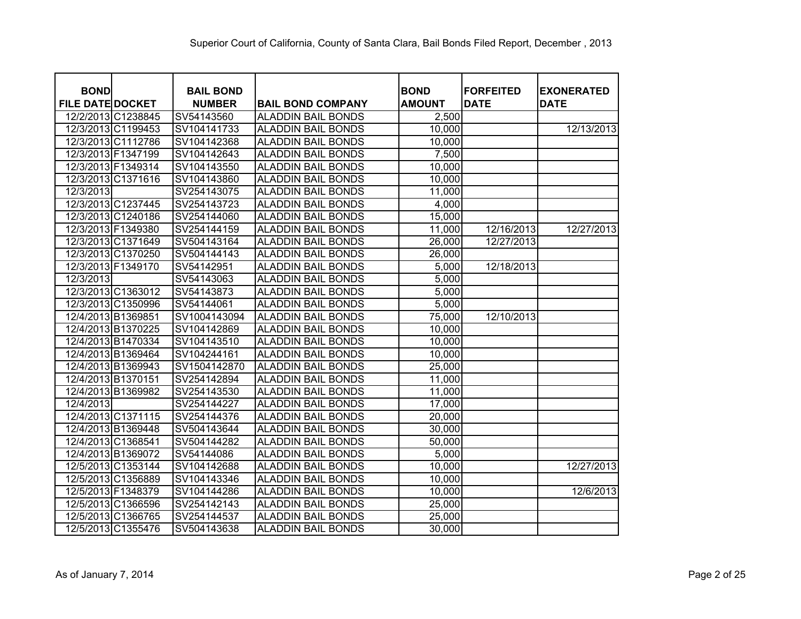| <b>BOND</b>             | <b>BAIL BOND</b> |                           | <b>BOND</b>   | <b>FORFEITED</b> | <b>EXONERATED</b> |
|-------------------------|------------------|---------------------------|---------------|------------------|-------------------|
| <b>FILE DATE DOCKET</b> | <b>NUMBER</b>    | <b>BAIL BOND COMPANY</b>  | <b>AMOUNT</b> | <b>DATE</b>      | <b>DATE</b>       |
| 12/2/2013 C1238845      | SV54143560       | <b>ALADDIN BAIL BONDS</b> | 2,500         |                  |                   |
| 12/3/2013 C1199453      | SV104141733      | <b>ALADDIN BAIL BONDS</b> | 10,000        |                  | 12/13/2013        |
| 12/3/2013 C1112786      | SV104142368      | <b>ALADDIN BAIL BONDS</b> | 10,000        |                  |                   |
| 12/3/2013 F1347199      | SV104142643      | <b>ALADDIN BAIL BONDS</b> | 7,500         |                  |                   |
| 12/3/2013 F1349314      | SV104143550      | <b>ALADDIN BAIL BONDS</b> | 10,000        |                  |                   |
| 12/3/2013 C1371616      | SV104143860      | <b>ALADDIN BAIL BONDS</b> | 10,000        |                  |                   |
| 12/3/2013               | SV254143075      | <b>ALADDIN BAIL BONDS</b> | 11,000        |                  |                   |
| 12/3/2013 C1237445      | SV254143723      | <b>ALADDIN BAIL BONDS</b> | 4,000         |                  |                   |
| 12/3/2013 C1240186      | SV254144060      | <b>ALADDIN BAIL BONDS</b> | 15,000        |                  |                   |
| 12/3/2013 F1349380      | SV254144159      | <b>ALADDIN BAIL BONDS</b> | 11,000        | 12/16/2013       | 12/27/2013        |
| 12/3/2013 C1371649      | SV504143164      | <b>ALADDIN BAIL BONDS</b> | 26,000        | 12/27/2013       |                   |
| 12/3/2013 C1370250      | SV504144143      | <b>ALADDIN BAIL BONDS</b> | 26,000        |                  |                   |
| 12/3/2013 F1349170      | SV54142951       | <b>ALADDIN BAIL BONDS</b> | 5,000         | 12/18/2013       |                   |
| 12/3/2013               | SV54143063       | <b>ALADDIN BAIL BONDS</b> | 5,000         |                  |                   |
| 12/3/2013 C1363012      | SV54143873       | <b>ALADDIN BAIL BONDS</b> | 5,000         |                  |                   |
| 12/3/2013 C1350996      | SV54144061       | <b>ALADDIN BAIL BONDS</b> | 5,000         |                  |                   |
| 12/4/2013 B1369851      | SV1004143094     | <b>ALADDIN BAIL BONDS</b> | 75,000        | 12/10/2013       |                   |
| 12/4/2013 B1370225      | SV104142869      | <b>ALADDIN BAIL BONDS</b> | 10,000        |                  |                   |
| 12/4/2013 B1470334      | SV104143510      | <b>ALADDIN BAIL BONDS</b> | 10,000        |                  |                   |
| 12/4/2013 B1369464      | SV104244161      | <b>ALADDIN BAIL BONDS</b> | 10,000        |                  |                   |
| 12/4/2013 B1369943      | SV1504142870     | <b>ALADDIN BAIL BONDS</b> | 25,000        |                  |                   |
| 12/4/2013 B1370151      | SV254142894      | <b>ALADDIN BAIL BONDS</b> | 11,000        |                  |                   |
| 12/4/2013 B1369982      | SV254143530      | <b>ALADDIN BAIL BONDS</b> | 11,000        |                  |                   |
| 12/4/2013               | SV254144227      | <b>ALADDIN BAIL BONDS</b> | 17,000        |                  |                   |
| 12/4/2013 C1371115      | SV254144376      | <b>ALADDIN BAIL BONDS</b> | 20,000        |                  |                   |
| 12/4/2013 B1369448      | SV504143644      | <b>ALADDIN BAIL BONDS</b> | 30,000        |                  |                   |
| 12/4/2013 C1368541      | SV504144282      | <b>ALADDIN BAIL BONDS</b> | 50,000        |                  |                   |
| 12/4/2013 B1369072      | SV54144086       | <b>ALADDIN BAIL BONDS</b> | 5,000         |                  |                   |
| 12/5/2013 C1353144      | SV104142688      | <b>ALADDIN BAIL BONDS</b> | 10,000        |                  | 12/27/2013        |
| 12/5/2013 C1356889      | SV104143346      | <b>ALADDIN BAIL BONDS</b> | 10,000        |                  |                   |
| 12/5/2013 F1348379      | SV104144286      | <b>ALADDIN BAIL BONDS</b> | 10,000        |                  | 12/6/2013         |
| 12/5/2013 C1366596      | SV254142143      | <b>ALADDIN BAIL BONDS</b> | 25,000        |                  |                   |
| 12/5/2013 C1366765      | SV254144537      | <b>ALADDIN BAIL BONDS</b> | 25,000        |                  |                   |
| 12/5/2013 C1355476      | SV504143638      | <b>ALADDIN BAIL BONDS</b> | 30,000        |                  |                   |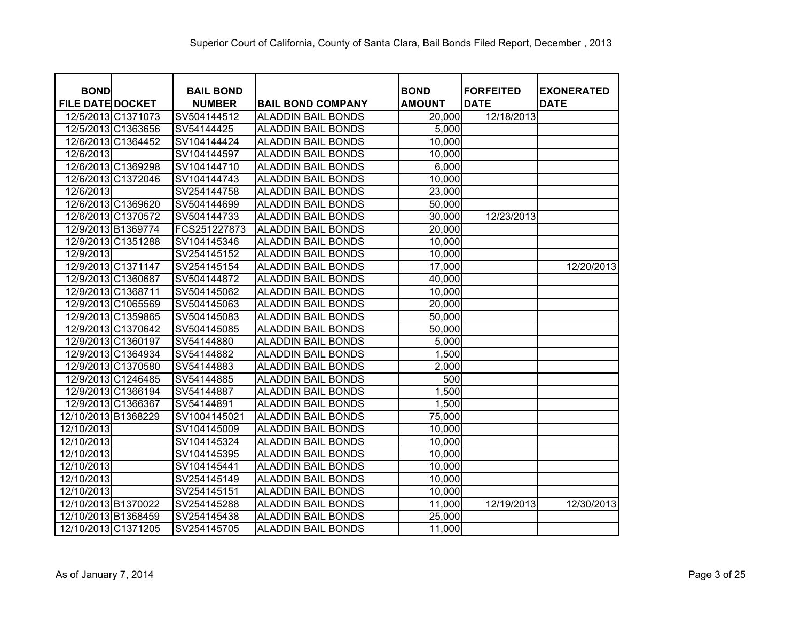| <b>BOND</b><br><b>FILE DATE DOCKET</b> |                    | <b>BAIL BOND</b><br><b>NUMBER</b> | <b>BAIL BOND COMPANY</b>  | <b>BOND</b><br><b>AMOUNT</b> | <b>FORFEITED</b><br><b>DATE</b> | <b>EXONERATED</b><br><b>DATE</b> |
|----------------------------------------|--------------------|-----------------------------------|---------------------------|------------------------------|---------------------------------|----------------------------------|
|                                        | 12/5/2013 C1371073 | SV504144512                       | <b>ALADDIN BAIL BONDS</b> | 20,000                       | 12/18/2013                      |                                  |
| 12/5/2013 C1363656                     |                    | SV54144425                        | <b>ALADDIN BAIL BONDS</b> | 5,000                        |                                 |                                  |
| 12/6/2013 C1364452                     |                    | SV104144424                       | <b>ALADDIN BAIL BONDS</b> | 10,000                       |                                 |                                  |
| 12/6/2013                              |                    | SV104144597                       | <b>ALADDIN BAIL BONDS</b> | 10,000                       |                                 |                                  |
|                                        | 12/6/2013 C1369298 | SV104144710                       | <b>ALADDIN BAIL BONDS</b> | 6,000                        |                                 |                                  |
| 12/6/2013 C1372046                     |                    | SV104144743                       | <b>ALADDIN BAIL BONDS</b> | 10,000                       |                                 |                                  |
| 12/6/2013                              |                    | SV254144758                       | <b>ALADDIN BAIL BONDS</b> | 23,000                       |                                 |                                  |
|                                        | 12/6/2013 C1369620 | SV504144699                       | <b>ALADDIN BAIL BONDS</b> | 50,000                       |                                 |                                  |
|                                        | 12/6/2013 C1370572 | SV504144733                       | <b>ALADDIN BAIL BONDS</b> | 30,000                       | 12/23/2013                      |                                  |
| 12/9/2013 B1369774                     |                    | FCS251227873                      | <b>ALADDIN BAIL BONDS</b> | 20,000                       |                                 |                                  |
|                                        | 12/9/2013 C1351288 | SV104145346                       | <b>ALADDIN BAIL BONDS</b> | 10,000                       |                                 |                                  |
| 12/9/2013                              |                    | SV254145152                       | <b>ALADDIN BAIL BONDS</b> | 10,000                       |                                 |                                  |
| 12/9/2013 C1371147                     |                    | SV254145154                       | <b>ALADDIN BAIL BONDS</b> | 17,000                       |                                 | 12/20/2013                       |
| 12/9/2013 C1360687                     |                    | SV504144872                       | <b>ALADDIN BAIL BONDS</b> | 40,000                       |                                 |                                  |
| 12/9/2013 C1368711                     |                    | SV504145062                       | <b>ALADDIN BAIL BONDS</b> | 10,000                       |                                 |                                  |
|                                        | 12/9/2013 C1065569 | SV504145063                       | <b>ALADDIN BAIL BONDS</b> | 20,000                       |                                 |                                  |
|                                        | 12/9/2013 C1359865 | SV504145083                       | <b>ALADDIN BAIL BONDS</b> | 50,000                       |                                 |                                  |
|                                        | 12/9/2013 C1370642 | SV504145085                       | <b>ALADDIN BAIL BONDS</b> | 50,000                       |                                 |                                  |
| 12/9/2013 C1360197                     |                    | SV54144880                        | <b>ALADDIN BAIL BONDS</b> | 5,000                        |                                 |                                  |
|                                        | 12/9/2013 C1364934 | SV54144882                        | <b>ALADDIN BAIL BONDS</b> | 1,500                        |                                 |                                  |
|                                        | 12/9/2013 C1370580 | SV54144883                        | <b>ALADDIN BAIL BONDS</b> | 2,000                        |                                 |                                  |
|                                        | 12/9/2013 C1246485 | SV54144885                        | <b>ALADDIN BAIL BONDS</b> | 500                          |                                 |                                  |
| 12/9/2013 C1366194                     |                    | SV54144887                        | <b>ALADDIN BAIL BONDS</b> | 1,500                        |                                 |                                  |
| 12/9/2013 C1366367                     |                    | SV54144891                        | <b>ALADDIN BAIL BONDS</b> | 1,500                        |                                 |                                  |
| 12/10/2013 B1368229                    |                    | SV1004145021                      | <b>ALADDIN BAIL BONDS</b> | 75,000                       |                                 |                                  |
| 12/10/2013                             |                    | SV104145009                       | <b>ALADDIN BAIL BONDS</b> | 10,000                       |                                 |                                  |
| 12/10/2013                             |                    | SV104145324                       | <b>ALADDIN BAIL BONDS</b> | 10,000                       |                                 |                                  |
| 12/10/2013                             |                    | SV104145395                       | <b>ALADDIN BAIL BONDS</b> | 10,000                       |                                 |                                  |
| 12/10/2013                             |                    | SV104145441                       | <b>ALADDIN BAIL BONDS</b> | 10,000                       |                                 |                                  |
| 12/10/2013                             |                    | SV254145149                       | <b>ALADDIN BAIL BONDS</b> | 10,000                       |                                 |                                  |
| 12/10/2013                             |                    | SV254145151                       | <b>ALADDIN BAIL BONDS</b> | 10,000                       |                                 |                                  |
| 12/10/2013 B1370022                    |                    | SV254145288                       | <b>ALADDIN BAIL BONDS</b> | 11,000                       | 12/19/2013                      | 12/30/2013                       |
| 12/10/2013 B1368459                    |                    | SV254145438                       | <b>ALADDIN BAIL BONDS</b> | 25,000                       |                                 |                                  |
| 12/10/2013 C1371205                    |                    | SV254145705                       | <b>ALADDIN BAIL BONDS</b> | 11,000                       |                                 |                                  |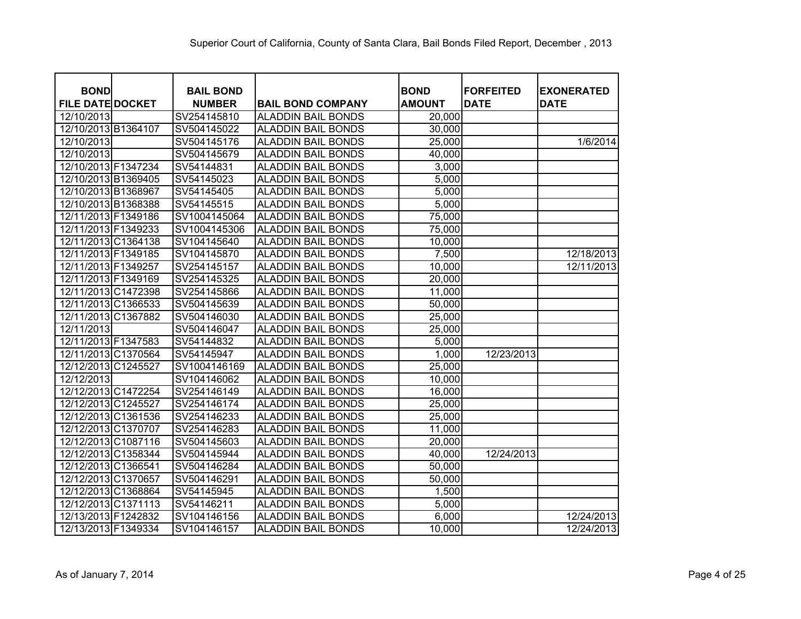| <b>BOND</b><br><b>FILE DATE DOCKET</b> | <b>BAIL BOND</b><br><b>NUMBER</b> | <b>BAIL BOND COMPANY</b>  | <b>BOND</b><br><b>AMOUNT</b> | <b>FORFEITED</b><br><b>DATE</b> | <b>EXONERATED</b><br><b>DATE</b> |
|----------------------------------------|-----------------------------------|---------------------------|------------------------------|---------------------------------|----------------------------------|
| 12/10/2013                             | SV254145810                       | <b>ALADDIN BAIL BONDS</b> | 20,000                       |                                 |                                  |
| 12/10/2013 B1364107                    | SV504145022                       | <b>ALADDIN BAIL BONDS</b> | 30,000                       |                                 |                                  |
| 12/10/2013                             | SV504145176                       | <b>ALADDIN BAIL BONDS</b> | 25,000                       |                                 | 1/6/2014                         |
| 12/10/2013                             | SV504145679                       | <b>ALADDIN BAIL BONDS</b> | 40,000                       |                                 |                                  |
| 12/10/2013 F1347234                    | SV54144831                        | <b>ALADDIN BAIL BONDS</b> | 3,000                        |                                 |                                  |
| 12/10/2013 B1369405                    | SV54145023                        | <b>ALADDIN BAIL BONDS</b> | 5,000                        |                                 |                                  |
| 12/10/2013 B1368967                    | SV54145405                        | <b>ALADDIN BAIL BONDS</b> | 5,000                        |                                 |                                  |
| 12/10/2013 B1368388                    | SV54145515                        | <b>ALADDIN BAIL BONDS</b> | 5,000                        |                                 |                                  |
| 12/11/2013 F1349186                    | SV1004145064                      | <b>ALADDIN BAIL BONDS</b> | 75,000                       |                                 |                                  |
| 12/11/2013 F1349233                    | SV1004145306                      | <b>ALADDIN BAIL BONDS</b> | 75,000                       |                                 |                                  |
| 12/11/2013 C1364138                    | SV104145640                       | <b>ALADDIN BAIL BONDS</b> | 10,000                       |                                 |                                  |
| 12/11/2013 F1349185                    | SV104145870                       | <b>ALADDIN BAIL BONDS</b> | 7,500                        |                                 | 12/18/2013                       |
| 12/11/2013 F1349257                    | SV254145157                       | <b>ALADDIN BAIL BONDS</b> | 10,000                       |                                 | 12/11/2013                       |
| 12/11/2013 F1349169                    | SV254145325                       | <b>ALADDIN BAIL BONDS</b> | 20,000                       |                                 |                                  |
| 12/11/2013 C1472398                    | SV254145866                       | <b>ALADDIN BAIL BONDS</b> | 11,000                       |                                 |                                  |
| 12/11/2013 C1366533                    | SV504145639                       | <b>ALADDIN BAIL BONDS</b> | 50,000                       |                                 |                                  |
| 12/11/2013 C1367882                    | SV504146030                       | <b>ALADDIN BAIL BONDS</b> | 25,000                       |                                 |                                  |
| 12/11/2013                             | SV504146047                       | <b>ALADDIN BAIL BONDS</b> | 25,000                       |                                 |                                  |
| 12/11/2013 F1347583                    | SV54144832                        | <b>ALADDIN BAIL BONDS</b> | 5,000                        |                                 |                                  |
| 12/11/2013 C1370564                    | SV54145947                        | <b>ALADDIN BAIL BONDS</b> | 1,000                        | 12/23/2013                      |                                  |
| 12/12/2013 C1245527                    | SV1004146169                      | <b>ALADDIN BAIL BONDS</b> | 25,000                       |                                 |                                  |
| 12/12/2013                             | SV104146062                       | <b>ALADDIN BAIL BONDS</b> | 10,000                       |                                 |                                  |
| 12/12/2013 C1472254                    | SV254146149                       | <b>ALADDIN BAIL BONDS</b> | 16,000                       |                                 |                                  |
| 12/12/2013 C1245527                    | SV254146174                       | <b>ALADDIN BAIL BONDS</b> | 25,000                       |                                 |                                  |
| 12/12/2013 C1361536                    | SV254146233                       | <b>ALADDIN BAIL BONDS</b> | 25,000                       |                                 |                                  |
| 12/12/2013 C1370707                    | SV254146283                       | <b>ALADDIN BAIL BONDS</b> | 11,000                       |                                 |                                  |
| 12/12/2013 C1087116                    | SV504145603                       | <b>ALADDIN BAIL BONDS</b> | 20,000                       |                                 |                                  |
| 12/12/2013 C1358344                    | SV504145944                       | <b>ALADDIN BAIL BONDS</b> | 40,000                       | 12/24/2013                      |                                  |
| 12/12/2013 C1366541                    | SV504146284                       | <b>ALADDIN BAIL BONDS</b> | 50,000                       |                                 |                                  |
| 12/12/2013 C1370657                    | SV504146291                       | <b>ALADDIN BAIL BONDS</b> | 50,000                       |                                 |                                  |
| 12/12/2013 C1368864                    | SV54145945                        | <b>ALADDIN BAIL BONDS</b> | 1,500                        |                                 |                                  |
| 12/12/2013 C1371113                    | SV54146211                        | <b>ALADDIN BAIL BONDS</b> | 5,000                        |                                 |                                  |
| 12/13/2013 F1242832                    | SV104146156                       | <b>ALADDIN BAIL BONDS</b> | 6,000                        |                                 | 12/24/2013                       |
| 12/13/2013 F1349334                    | SV104146157                       | <b>ALADDIN BAIL BONDS</b> | 10,000                       |                                 | 12/24/2013                       |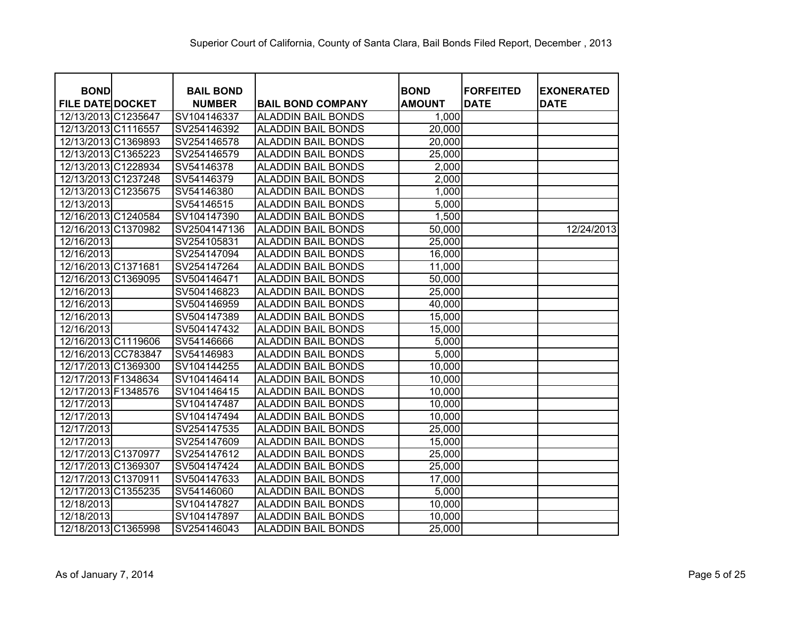| <b>BOND</b><br><b>FILE DATE DOCKET</b> | <b>BAIL BOND</b><br><b>NUMBER</b> | <b>BAIL BOND COMPANY</b>  | <b>BOND</b><br><b>AMOUNT</b> | <b>FORFEITED</b><br><b>DATE</b> | <b>EXONERATED</b><br>DATE |
|----------------------------------------|-----------------------------------|---------------------------|------------------------------|---------------------------------|---------------------------|
| 12/13/2013 C1235647                    | SV104146337                       | <b>ALADDIN BAIL BONDS</b> | 1,000                        |                                 |                           |
| 12/13/2013 C1116557                    | SV254146392                       | <b>ALADDIN BAIL BONDS</b> | 20,000                       |                                 |                           |
| 12/13/2013 C1369893                    | SV254146578                       | <b>ALADDIN BAIL BONDS</b> | 20,000                       |                                 |                           |
| 12/13/2013 C1365223                    | SV254146579                       | <b>ALADDIN BAIL BONDS</b> | 25,000                       |                                 |                           |
| 12/13/2013 C1228934                    | SV54146378                        | <b>ALADDIN BAIL BONDS</b> | 2,000                        |                                 |                           |
| 12/13/2013 C1237248                    | SV54146379                        | <b>ALADDIN BAIL BONDS</b> | 2,000                        |                                 |                           |
| 12/13/2013 C1235675                    | SV54146380                        | <b>ALADDIN BAIL BONDS</b> | 1,000                        |                                 |                           |
| 12/13/2013                             | SV54146515                        | <b>ALADDIN BAIL BONDS</b> | 5,000                        |                                 |                           |
| 12/16/2013 C1240584                    | SV104147390                       | <b>ALADDIN BAIL BONDS</b> | 1,500                        |                                 |                           |
| 12/16/2013 C1370982                    | SV2504147136                      | <b>ALADDIN BAIL BONDS</b> | 50,000                       |                                 | 12/24/2013                |
| 12/16/2013                             | SV254105831                       | <b>ALADDIN BAIL BONDS</b> | 25,000                       |                                 |                           |
| 12/16/2013                             | SV254147094                       | <b>ALADDIN BAIL BONDS</b> | 16,000                       |                                 |                           |
| 12/16/2013 C1371681                    | SV254147264                       | <b>ALADDIN BAIL BONDS</b> | 11,000                       |                                 |                           |
| 12/16/2013 C1369095                    | SV504146471                       | <b>ALADDIN BAIL BONDS</b> | 50,000                       |                                 |                           |
| 12/16/2013                             | SV504146823                       | <b>ALADDIN BAIL BONDS</b> | 25,000                       |                                 |                           |
| 12/16/2013                             | SV504146959                       | <b>ALADDIN BAIL BONDS</b> | 40,000                       |                                 |                           |
| 12/16/2013                             | SV504147389                       | <b>ALADDIN BAIL BONDS</b> | 15,000                       |                                 |                           |
| 12/16/2013                             | SV504147432                       | <b>ALADDIN BAIL BONDS</b> | 15,000                       |                                 |                           |
| 12/16/2013 C1119606                    | SV54146666                        | <b>ALADDIN BAIL BONDS</b> | 5,000                        |                                 |                           |
| 12/16/2013 CC783847                    | SV54146983                        | <b>ALADDIN BAIL BONDS</b> | 5,000                        |                                 |                           |
| 12/17/2013 C1369300                    | SV104144255                       | <b>ALADDIN BAIL BONDS</b> | 10,000                       |                                 |                           |
| 12/17/2013 F1348634                    | SV104146414                       | <b>ALADDIN BAIL BONDS</b> | 10,000                       |                                 |                           |
| 12/17/2013 F1348576                    | SV104146415                       | <b>ALADDIN BAIL BONDS</b> | 10,000                       |                                 |                           |
| 12/17/2013                             | SV104147487                       | <b>ALADDIN BAIL BONDS</b> | 10,000                       |                                 |                           |
| 12/17/2013                             | SV104147494                       | <b>ALADDIN BAIL BONDS</b> | 10,000                       |                                 |                           |
| 12/17/2013                             | SV254147535                       | <b>ALADDIN BAIL BONDS</b> | 25,000                       |                                 |                           |
| 12/17/2013                             | SV254147609                       | <b>ALADDIN BAIL BONDS</b> | 15,000                       |                                 |                           |
| 12/17/2013 C1370977                    | SV254147612                       | <b>ALADDIN BAIL BONDS</b> | 25,000                       |                                 |                           |
| 12/17/2013 C1369307                    | SV504147424                       | <b>ALADDIN BAIL BONDS</b> | 25,000                       |                                 |                           |
| 12/17/2013 C1370911                    | SV504147633                       | <b>ALADDIN BAIL BONDS</b> | 17,000                       |                                 |                           |
| 12/17/2013 C1355235                    | SV54146060                        | <b>ALADDIN BAIL BONDS</b> | 5,000                        |                                 |                           |
| 12/18/2013                             | SV104147827                       | <b>ALADDIN BAIL BONDS</b> | 10,000                       |                                 |                           |
| 12/18/2013                             | SV104147897                       | <b>ALADDIN BAIL BONDS</b> | 10,000                       |                                 |                           |
| 12/18/2013 C1365998                    | SV254146043                       | <b>ALADDIN BAIL BONDS</b> | 25,000                       |                                 |                           |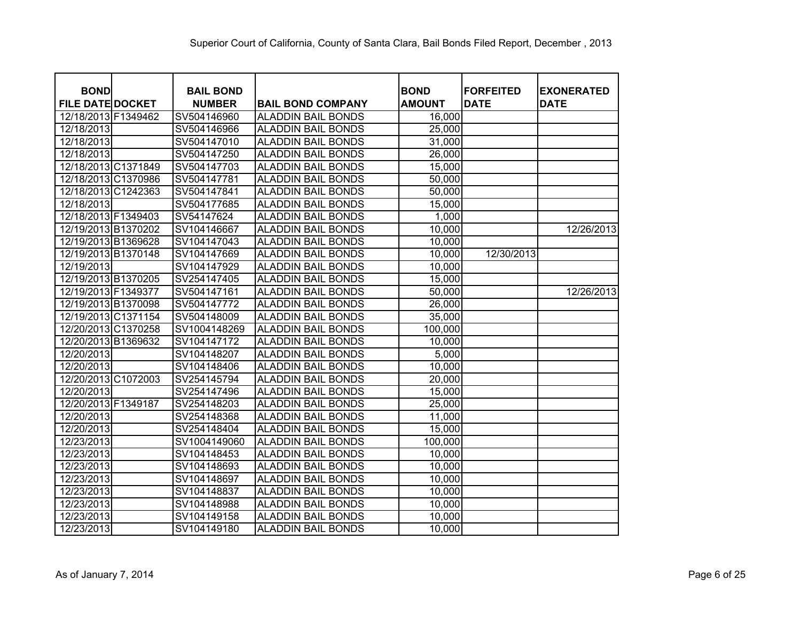| <b>BOND</b><br><b>FILE DATE DOCKET</b> | <b>BAIL BOND</b><br><b>NUMBER</b> | <b>BAIL BOND COMPANY</b>  | <b>BOND</b><br><b>AMOUNT</b> | <b>FORFEITED</b><br><b>DATE</b> | <b>EXONERATED</b><br><b>DATE</b> |
|----------------------------------------|-----------------------------------|---------------------------|------------------------------|---------------------------------|----------------------------------|
| 12/18/2013 F1349462                    | SV504146960                       | <b>ALADDIN BAIL BONDS</b> | 16,000                       |                                 |                                  |
| 12/18/2013                             | SV504146966                       | <b>ALADDIN BAIL BONDS</b> | 25,000                       |                                 |                                  |
| 12/18/2013                             | SV504147010                       | <b>ALADDIN BAIL BONDS</b> | 31,000                       |                                 |                                  |
| 12/18/2013                             | SV504147250                       | <b>ALADDIN BAIL BONDS</b> | 26,000                       |                                 |                                  |
| 12/18/2013 C1371849                    | SV504147703                       | <b>ALADDIN BAIL BONDS</b> | 15,000                       |                                 |                                  |
| 12/18/2013 C1370986                    | SV504147781                       | <b>ALADDIN BAIL BONDS</b> | 50,000                       |                                 |                                  |
| 12/18/2013 C1242363                    | SV504147841                       | ALADDIN BAIL BONDS        | 50,000                       |                                 |                                  |
| 12/18/2013                             | SV504177685                       | ALADDIN BAIL BONDS        | 15,000                       |                                 |                                  |
| 12/18/2013 F1349403                    | SV54147624                        | ALADDIN BAIL BONDS        | 1,000                        |                                 |                                  |
| 12/19/2013 B1370202                    | SV104146667                       | <b>ALADDIN BAIL BONDS</b> | 10,000                       |                                 | 12/26/2013                       |
| 12/19/2013 B1369628                    | SV104147043                       | <b>ALADDIN BAIL BONDS</b> | 10,000                       |                                 |                                  |
| 12/19/2013 B1370148                    | SV104147669                       | ALADDIN BAIL BONDS        | 10,000                       | 12/30/2013                      |                                  |
| 12/19/2013                             | SV104147929                       | ALADDIN BAIL BONDS        | 10,000                       |                                 |                                  |
| 12/19/2013 B1370205                    | SV254147405                       | ALADDIN BAIL BONDS        | 15,000                       |                                 |                                  |
| 12/19/2013 F1349377                    | SV504147161                       | ALADDIN BAIL BONDS        | 50,000                       |                                 | 12/26/2013                       |
| 12/19/2013 B1370098                    | SV504147772                       | <b>ALADDIN BAIL BONDS</b> | 26,000                       |                                 |                                  |
| 12/19/2013 C1371154                    | SV504148009                       | ALADDIN BAIL BONDS        | 35,000                       |                                 |                                  |
| 12/20/2013 C1370258                    | SV1004148269                      | <b>ALADDIN BAIL BONDS</b> | 100,000                      |                                 |                                  |
| 12/20/2013 B1369632                    | SV104147172                       | <b>ALADDIN BAIL BONDS</b> | 10,000                       |                                 |                                  |
| 12/20/2013                             | SV104148207                       | <b>ALADDIN BAIL BONDS</b> | 5,000                        |                                 |                                  |
| 12/20/2013                             | SV104148406                       | ALADDIN BAIL BONDS        | 10,000                       |                                 |                                  |
| 12/20/2013 C1072003                    | SV254145794                       | <b>ALADDIN BAIL BONDS</b> | 20,000                       |                                 |                                  |
| 12/20/2013                             | SV254147496                       | <b>ALADDIN BAIL BONDS</b> | 15,000                       |                                 |                                  |
| 12/20/2013 F1349187                    | SV254148203                       | <b>ALADDIN BAIL BONDS</b> | 25,000                       |                                 |                                  |
| 12/20/2013                             | SV254148368                       | <b>ALADDIN BAIL BONDS</b> | 11,000                       |                                 |                                  |
| 12/20/2013                             | SV254148404                       | <b>ALADDIN BAIL BONDS</b> | 15,000                       |                                 |                                  |
| 12/23/2013                             | SV1004149060                      | <b>ALADDIN BAIL BONDS</b> | 100,000                      |                                 |                                  |
| 12/23/2013                             | SV104148453                       | <b>ALADDIN BAIL BONDS</b> | 10,000                       |                                 |                                  |
| 12/23/2013                             | SV104148693                       | <b>ALADDIN BAIL BONDS</b> | 10,000                       |                                 |                                  |
| 12/23/2013                             | SV104148697                       | <b>ALADDIN BAIL BONDS</b> | 10,000                       |                                 |                                  |
| 12/23/2013                             | SV104148837                       | <b>ALADDIN BAIL BONDS</b> | 10,000                       |                                 |                                  |
| 12/23/2013                             | SV104148988                       | <b>ALADDIN BAIL BONDS</b> | 10,000                       |                                 |                                  |
| 12/23/2013                             | SV104149158                       | <b>ALADDIN BAIL BONDS</b> | 10,000                       |                                 |                                  |
| 12/23/2013                             | SV104149180                       | <b>ALADDIN BAIL BONDS</b> | 10,000                       |                                 |                                  |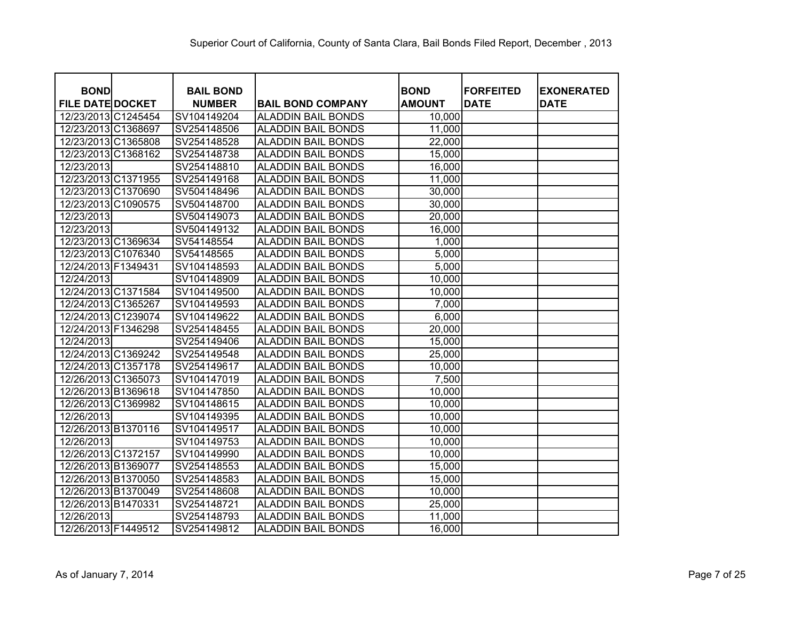| <b>BOND</b>             | <b>BAIL BOND</b> |                           | <b>BOND</b>   | <b>FORFEITED</b> | <b>EXONERATED</b> |
|-------------------------|------------------|---------------------------|---------------|------------------|-------------------|
| <b>FILE DATE DOCKET</b> | <b>NUMBER</b>    | <b>BAIL BOND COMPANY</b>  | <b>AMOUNT</b> | <b>DATE</b>      | <b>DATE</b>       |
| 12/23/2013 C1245454     | SV104149204      | <b>ALADDIN BAIL BONDS</b> | 10,000        |                  |                   |
| 12/23/2013 C1368697     | SV254148506      | <b>ALADDIN BAIL BONDS</b> | 11,000        |                  |                   |
| 12/23/2013 C1365808     | SV254148528      | <b>ALADDIN BAIL BONDS</b> | 22,000        |                  |                   |
| 12/23/2013 C1368162     | SV254148738      | <b>ALADDIN BAIL BONDS</b> | 15,000        |                  |                   |
| 12/23/2013              | SV254148810      | <b>ALADDIN BAIL BONDS</b> | 16,000        |                  |                   |
| 12/23/2013 C1371955     | SV254149168      | <b>ALADDIN BAIL BONDS</b> | 11,000        |                  |                   |
| 12/23/2013 C1370690     | SV504148496      | <b>ALADDIN BAIL BONDS</b> | 30,000        |                  |                   |
| 12/23/2013 C1090575     | SV504148700      | <b>ALADDIN BAIL BONDS</b> | 30,000        |                  |                   |
| 12/23/2013              | SV504149073      | <b>ALADDIN BAIL BONDS</b> | 20,000        |                  |                   |
| 12/23/2013              | SV504149132      | <b>ALADDIN BAIL BONDS</b> | 16,000        |                  |                   |
| 12/23/2013 C1369634     | SV54148554       | <b>ALADDIN BAIL BONDS</b> | 1,000         |                  |                   |
| 12/23/2013 C1076340     | SV54148565       | <b>ALADDIN BAIL BONDS</b> | 5,000         |                  |                   |
| 12/24/2013 F1349431     | SV104148593      | <b>ALADDIN BAIL BONDS</b> | 5,000         |                  |                   |
| 12/24/2013              | SV104148909      | <b>ALADDIN BAIL BONDS</b> | 10,000        |                  |                   |
| 12/24/2013 C1371584     | SV104149500      | <b>ALADDIN BAIL BONDS</b> | 10,000        |                  |                   |
| 12/24/2013 C1365267     | SV104149593      | <b>ALADDIN BAIL BONDS</b> | 7,000         |                  |                   |
| 12/24/2013 C1239074     | SV104149622      | <b>ALADDIN BAIL BONDS</b> | 6,000         |                  |                   |
| 12/24/2013 F1346298     | SV254148455      | <b>ALADDIN BAIL BONDS</b> | 20,000        |                  |                   |
| 12/24/2013              | SV254149406      | <b>ALADDIN BAIL BONDS</b> | 15,000        |                  |                   |
| 12/24/2013 C1369242     | SV254149548      | <b>ALADDIN BAIL BONDS</b> | 25,000        |                  |                   |
| 12/24/2013 C1357178     | SV254149617      | <b>ALADDIN BAIL BONDS</b> | 10,000        |                  |                   |
| 12/26/2013 C1365073     | SV104147019      | <b>ALADDIN BAIL BONDS</b> | 7,500         |                  |                   |
| 12/26/2013 B1369618     | SV104147850      | <b>ALADDIN BAIL BONDS</b> | 10,000        |                  |                   |
| 12/26/2013 C1369982     | SV104148615      | <b>ALADDIN BAIL BONDS</b> | 10,000        |                  |                   |
| 12/26/2013              | SV104149395      | <b>ALADDIN BAIL BONDS</b> | 10,000        |                  |                   |
| 12/26/2013 B1370116     | SV104149517      | <b>ALADDIN BAIL BONDS</b> | 10,000        |                  |                   |
| 12/26/2013              | SV104149753      | <b>ALADDIN BAIL BONDS</b> | 10,000        |                  |                   |
| 12/26/2013 C1372157     | SV104149990      | <b>ALADDIN BAIL BONDS</b> | 10,000        |                  |                   |
| 12/26/2013 B1369077     | SV254148553      | <b>ALADDIN BAIL BONDS</b> | 15,000        |                  |                   |
| 12/26/2013 B1370050     | SV254148583      | <b>ALADDIN BAIL BONDS</b> | 15,000        |                  |                   |
| 12/26/2013 B1370049     | SV254148608      | <b>ALADDIN BAIL BONDS</b> | 10,000        |                  |                   |
| 12/26/2013 B1470331     | SV254148721      | <b>ALADDIN BAIL BONDS</b> | 25,000        |                  |                   |
| 12/26/2013              | SV254148793      | <b>ALADDIN BAIL BONDS</b> | 11,000        |                  |                   |
| 12/26/2013 F1449512     | SV254149812      | <b>ALADDIN BAIL BONDS</b> | 16,000        |                  |                   |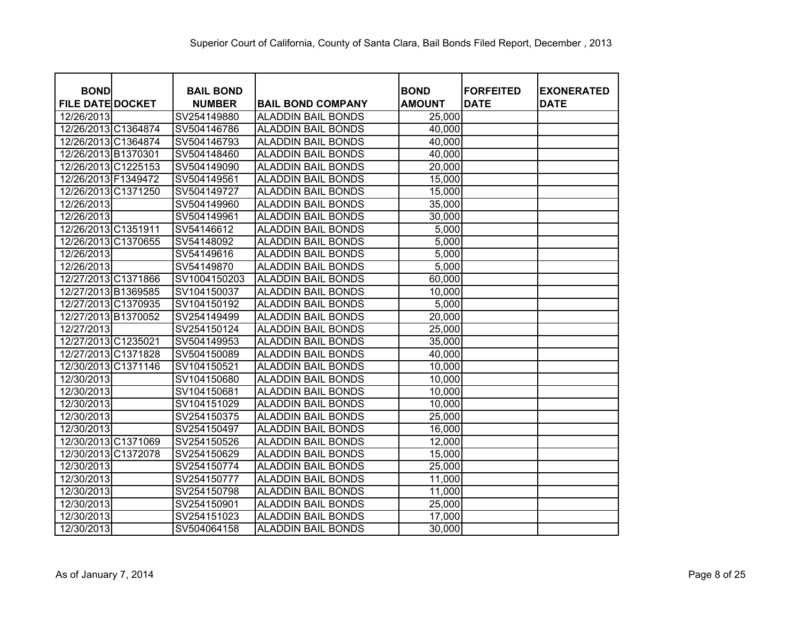| <b>BOND</b>             | <b>BAIL BOND</b> |                           | <b>BOND</b>   | <b>FORFEITED</b> | <b>EXONERATED</b> |
|-------------------------|------------------|---------------------------|---------------|------------------|-------------------|
| <b>FILE DATE DOCKET</b> | <b>NUMBER</b>    | <b>BAIL BOND COMPANY</b>  | <b>AMOUNT</b> | <b>DATE</b>      | <b>DATE</b>       |
| 12/26/2013              | SV254149880      | <b>ALADDIN BAIL BONDS</b> | 25,000        |                  |                   |
| 12/26/2013 C1364874     | SV504146786      | <b>ALADDIN BAIL BONDS</b> | 40,000        |                  |                   |
| 12/26/2013 C1364874     | SV504146793      | <b>ALADDIN BAIL BONDS</b> | 40,000        |                  |                   |
| 12/26/2013 B1370301     | SV504148460      | <b>ALADDIN BAIL BONDS</b> | 40,000        |                  |                   |
| 12/26/2013 C1225153     | SV504149090      | <b>ALADDIN BAIL BONDS</b> | 20,000        |                  |                   |
| 12/26/2013 F1349472     | SV504149561      | <b>ALADDIN BAIL BONDS</b> | 15,000        |                  |                   |
| 12/26/2013 C1371250     | SV504149727      | <b>ALADDIN BAIL BONDS</b> | 15,000        |                  |                   |
| 12/26/2013              | SV504149960      | <b>ALADDIN BAIL BONDS</b> | 35,000        |                  |                   |
| 12/26/2013              | SV504149961      | <b>ALADDIN BAIL BONDS</b> | 30,000        |                  |                   |
| 12/26/2013 C1351911     | SV54146612       | <b>ALADDIN BAIL BONDS</b> | 5,000         |                  |                   |
| 12/26/2013 C1370655     | SV54148092       | <b>ALADDIN BAIL BONDS</b> | 5,000         |                  |                   |
| 12/26/2013              | SV54149616       | <b>ALADDIN BAIL BONDS</b> | 5,000         |                  |                   |
| 12/26/2013              | SV54149870       | <b>ALADDIN BAIL BONDS</b> | 5,000         |                  |                   |
| 12/27/2013 C1371866     | SV1004150203     | <b>ALADDIN BAIL BONDS</b> | 60,000        |                  |                   |
| 12/27/2013 B1369585     | SV104150037      | <b>ALADDIN BAIL BONDS</b> | 10,000        |                  |                   |
| 12/27/2013 C1370935     | SV104150192      | <b>ALADDIN BAIL BONDS</b> | 5,000         |                  |                   |
| 12/27/2013 B1370052     | SV254149499      | <b>ALADDIN BAIL BONDS</b> | 20,000        |                  |                   |
| 12/27/2013              | SV254150124      | <b>ALADDIN BAIL BONDS</b> | 25,000        |                  |                   |
| 12/27/2013 C1235021     | SV504149953      | <b>ALADDIN BAIL BONDS</b> | 35,000        |                  |                   |
| 12/27/2013 C1371828     | SV504150089      | <b>ALADDIN BAIL BONDS</b> | 40,000        |                  |                   |
| 12/30/2013 C1371146     | SV104150521      | <b>ALADDIN BAIL BONDS</b> | 10,000        |                  |                   |
| 12/30/2013              | SV104150680      | <b>ALADDIN BAIL BONDS</b> | 10,000        |                  |                   |
| 12/30/2013              | SV104150681      | <b>ALADDIN BAIL BONDS</b> | 10,000        |                  |                   |
| 12/30/2013              | SV104151029      | <b>ALADDIN BAIL BONDS</b> | 10,000        |                  |                   |
| 12/30/2013              | SV254150375      | <b>ALADDIN BAIL BONDS</b> | 25,000        |                  |                   |
| 12/30/2013              | SV254150497      | <b>ALADDIN BAIL BONDS</b> | 16,000        |                  |                   |
| 12/30/2013 C1371069     | SV254150526      | <b>ALADDIN BAIL BONDS</b> | 12,000        |                  |                   |
| 12/30/2013 C1372078     | SV254150629      | <b>ALADDIN BAIL BONDS</b> | 15,000        |                  |                   |
| 12/30/2013              | SV254150774      | <b>ALADDIN BAIL BONDS</b> | 25,000        |                  |                   |
| 12/30/2013              | SV254150777      | <b>ALADDIN BAIL BONDS</b> | 11,000        |                  |                   |
| 12/30/2013              | SV254150798      | <b>ALADDIN BAIL BONDS</b> | 11,000        |                  |                   |
| 12/30/2013              | SV254150901      | <b>ALADDIN BAIL BONDS</b> | 25,000        |                  |                   |
| 12/30/2013              | SV254151023      | <b>ALADDIN BAIL BONDS</b> | 17,000        |                  |                   |
| 12/30/2013              | SV504064158      | <b>ALADDIN BAIL BONDS</b> | 30,000        |                  |                   |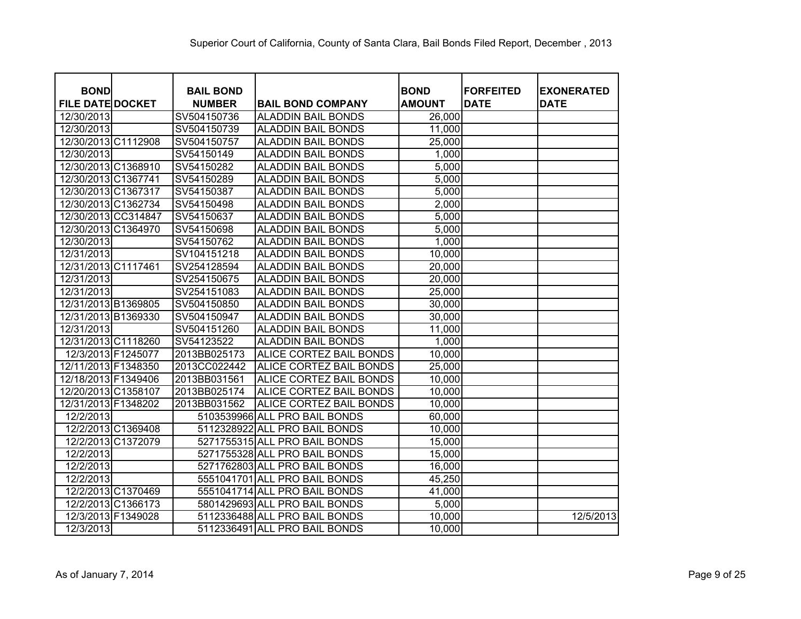| <b>BOND</b><br><b>FILE DATE DOCKET</b> | <b>BAIL BOND</b><br><b>NUMBER</b> | <b>BAIL BOND COMPANY</b>      | <b>BOND</b><br><b>AMOUNT</b> | <b>FORFEITED</b><br><b>DATE</b> | <b>EXONERATED</b><br><b>DATE</b> |
|----------------------------------------|-----------------------------------|-------------------------------|------------------------------|---------------------------------|----------------------------------|
| 12/30/2013                             | SV504150736                       | <b>ALADDIN BAIL BONDS</b>     | 26,000                       |                                 |                                  |
| 12/30/2013                             | SV504150739                       | <b>ALADDIN BAIL BONDS</b>     | 11,000                       |                                 |                                  |
| 12/30/2013 C1112908                    | SV504150757                       | <b>ALADDIN BAIL BONDS</b>     | 25,000                       |                                 |                                  |
| 12/30/2013                             | SV54150149                        | <b>ALADDIN BAIL BONDS</b>     | 1,000                        |                                 |                                  |
| 12/30/2013 C1368910                    | SV54150282                        | <b>ALADDIN BAIL BONDS</b>     | 5,000                        |                                 |                                  |
| 12/30/2013 C1367741                    | SV54150289                        | <b>ALADDIN BAIL BONDS</b>     | 5,000                        |                                 |                                  |
| 12/30/2013 C1367317                    | SV54150387                        | <b>ALADDIN BAIL BONDS</b>     | 5,000                        |                                 |                                  |
| 12/30/2013 C1362734                    | SV54150498                        | <b>ALADDIN BAIL BONDS</b>     | 2,000                        |                                 |                                  |
| 12/30/2013 CC314847                    | SV54150637                        | <b>ALADDIN BAIL BONDS</b>     | 5,000                        |                                 |                                  |
| 12/30/2013 C1364970                    | SV54150698                        | <b>ALADDIN BAIL BONDS</b>     | 5,000                        |                                 |                                  |
| 12/30/2013                             | SV54150762                        | <b>ALADDIN BAIL BONDS</b>     | 1,000                        |                                 |                                  |
| 12/31/2013                             | SV104151218                       | <b>ALADDIN BAIL BONDS</b>     | 10,000                       |                                 |                                  |
| 12/31/2013 C1117461                    | SV254128594                       | <b>ALADDIN BAIL BONDS</b>     | 20,000                       |                                 |                                  |
| 12/31/2013                             | SV254150675                       | <b>ALADDIN BAIL BONDS</b>     | 20,000                       |                                 |                                  |
| 12/31/2013                             | SV254151083                       | <b>ALADDIN BAIL BONDS</b>     | 25,000                       |                                 |                                  |
| 12/31/2013 B1369805                    | SV504150850                       | <b>ALADDIN BAIL BONDS</b>     | 30,000                       |                                 |                                  |
| 12/31/2013 B1369330                    | SV504150947                       | <b>ALADDIN BAIL BONDS</b>     | 30,000                       |                                 |                                  |
| 12/31/2013                             | SV504151260                       | <b>ALADDIN BAIL BONDS</b>     | 11,000                       |                                 |                                  |
| 12/31/2013 C1118260                    | SV54123522                        | <b>ALADDIN BAIL BONDS</b>     | 1,000                        |                                 |                                  |
| 12/3/2013 F1245077                     | 2013BB025173                      | ALICE CORTEZ BAIL BONDS       | 10,000                       |                                 |                                  |
| 12/11/2013 F1348350                    | 2013CC022442                      | ALICE CORTEZ BAIL BONDS       | 25,000                       |                                 |                                  |
| 12/18/2013 F1349406                    | 2013BB031561                      | ALICE CORTEZ BAIL BONDS       | 10,000                       |                                 |                                  |
| 12/20/2013 C1358107                    | 2013BB025174                      | ALICE CORTEZ BAIL BONDS       | 10,000                       |                                 |                                  |
| 12/31/2013 F1348202                    | 2013BB031562                      | ALICE CORTEZ BAIL BONDS       | 10,000                       |                                 |                                  |
| 12/2/2013                              |                                   | 5103539966 ALL PRO BAIL BONDS | 60,000                       |                                 |                                  |
| 12/2/2013 C1369408                     |                                   | 5112328922 ALL PRO BAIL BONDS | 10,000                       |                                 |                                  |
| 12/2/2013 C1372079                     |                                   | 5271755315 ALL PRO BAIL BONDS | 15,000                       |                                 |                                  |
| 12/2/2013                              |                                   | 5271755328 ALL PRO BAIL BONDS | 15,000                       |                                 |                                  |
| 12/2/2013                              |                                   | 5271762803 ALL PRO BAIL BONDS | 16,000                       |                                 |                                  |
| 12/2/2013                              |                                   | 5551041701 ALL PRO BAIL BONDS | 45,250                       |                                 |                                  |
| 12/2/2013 C1370469                     |                                   | 5551041714 ALL PRO BAIL BONDS | 41,000                       |                                 |                                  |
| 12/2/2013 C1366173                     |                                   | 5801429693 ALL PRO BAIL BONDS | 5,000                        |                                 |                                  |
| 12/3/2013 F1349028                     |                                   | 5112336488 ALL PRO BAIL BONDS | 10,000                       |                                 | 12/5/2013                        |
| 12/3/2013                              |                                   | 5112336491 ALL PRO BAIL BONDS | 10,000                       |                                 |                                  |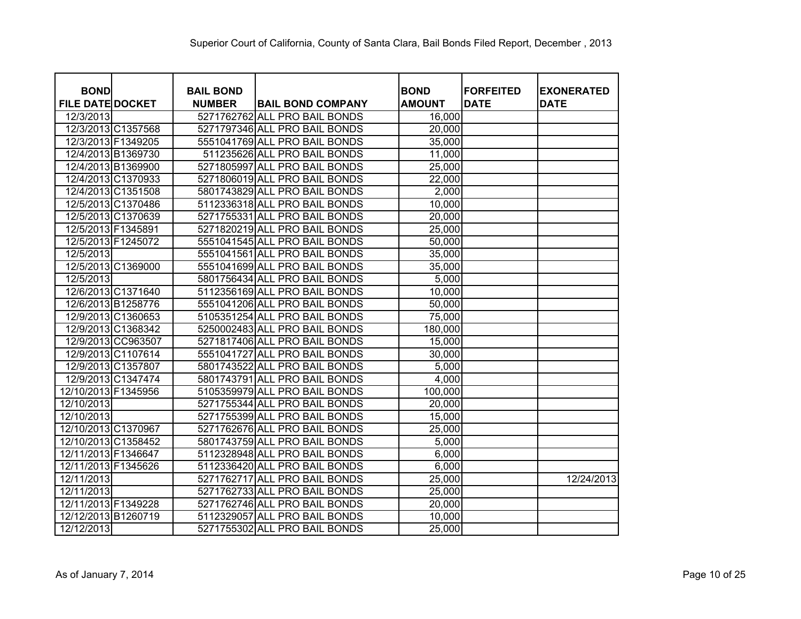| <b>BOND</b>             |                    | <b>BAIL BOND</b> |                               | <b>BOND</b>   | <b>IFORFEITED</b> | <b>EXONERATED</b> |
|-------------------------|--------------------|------------------|-------------------------------|---------------|-------------------|-------------------|
| <b>FILE DATE DOCKET</b> |                    | <b>NUMBER</b>    | <b>BAIL BOND COMPANY</b>      | <b>AMOUNT</b> | <b>DATE</b>       | <b>DATE</b>       |
| 12/3/2013               |                    |                  | 5271762762 ALL PRO BAIL BONDS | 16,000        |                   |                   |
|                         | 12/3/2013 C1357568 |                  | 5271797346 ALL PRO BAIL BONDS | 20,000        |                   |                   |
|                         | 12/3/2013 F1349205 |                  | 5551041769 ALL PRO BAIL BONDS | 35,000        |                   |                   |
|                         | 12/4/2013 B1369730 |                  | 511235626 ALL PRO BAIL BONDS  | 11,000        |                   |                   |
|                         | 12/4/2013 B1369900 |                  | 5271805997 ALL PRO BAIL BONDS | 25,000        |                   |                   |
|                         | 12/4/2013 C1370933 |                  | 5271806019 ALL PRO BAIL BONDS | 22,000        |                   |                   |
|                         | 12/4/2013 C1351508 |                  | 5801743829 ALL PRO BAIL BONDS | 2,000         |                   |                   |
|                         | 12/5/2013 C1370486 |                  | 5112336318 ALL PRO BAIL BONDS | 10,000        |                   |                   |
|                         | 12/5/2013 C1370639 |                  | 5271755331 ALL PRO BAIL BONDS | 20,000        |                   |                   |
|                         | 12/5/2013 F1345891 |                  | 5271820219 ALL PRO BAIL BONDS | 25,000        |                   |                   |
|                         | 12/5/2013 F1245072 |                  | 5551041545 ALL PRO BAIL BONDS | 50,000        |                   |                   |
| 12/5/2013               |                    |                  | 5551041561 ALL PRO BAIL BONDS | 35,000        |                   |                   |
|                         | 12/5/2013 C1369000 |                  | 5551041699 ALL PRO BAIL BONDS | 35,000        |                   |                   |
| 12/5/2013               |                    |                  | 5801756434 ALL PRO BAIL BONDS | 5,000         |                   |                   |
|                         | 12/6/2013 C1371640 |                  | 5112356169 ALL PRO BAIL BONDS | 10,000        |                   |                   |
|                         | 12/6/2013 B1258776 |                  | 5551041206 ALL PRO BAIL BONDS | 50,000        |                   |                   |
|                         | 12/9/2013 C1360653 |                  | 5105351254 ALL PRO BAIL BONDS | 75,000        |                   |                   |
|                         | 12/9/2013 C1368342 |                  | 5250002483 ALL PRO BAIL BONDS | 180,000       |                   |                   |
|                         | 12/9/2013 CC963507 |                  | 5271817406 ALL PRO BAIL BONDS | 15,000        |                   |                   |
|                         | 12/9/2013 C1107614 |                  | 5551041727 ALL PRO BAIL BONDS | 30,000        |                   |                   |
|                         | 12/9/2013 C1357807 |                  | 5801743522 ALL PRO BAIL BONDS | 5,000         |                   |                   |
|                         | 12/9/2013 C1347474 |                  | 5801743791 ALL PRO BAIL BONDS | 4,000         |                   |                   |
| 12/10/2013 F1345956     |                    |                  | 5105359979 ALL PRO BAIL BONDS | 100,000       |                   |                   |
| 12/10/2013              |                    |                  | 5271755344 ALL PRO BAIL BONDS | 20,000        |                   |                   |
| 12/10/2013              |                    |                  | 5271755399 ALL PRO BAIL BONDS | 15,000        |                   |                   |
| 12/10/2013 C1370967     |                    |                  | 5271762676 ALL PRO BAIL BONDS | 25,000        |                   |                   |
| 12/10/2013 C1358452     |                    |                  | 5801743759 ALL PRO BAIL BONDS | 5,000         |                   |                   |
| 12/11/2013 F1346647     |                    |                  | 5112328948 ALL PRO BAIL BONDS | 6,000         |                   |                   |
| 12/11/2013 F1345626     |                    |                  | 5112336420 ALL PRO BAIL BONDS | 6,000         |                   |                   |
| 12/11/2013              |                    |                  | 5271762717 ALL PRO BAIL BONDS | 25,000        |                   | 12/24/2013        |
| 12/11/2013              |                    |                  | 5271762733 ALL PRO BAIL BONDS | 25,000        |                   |                   |
| 12/11/2013 F1349228     |                    |                  | 5271762746 ALL PRO BAIL BONDS | 20,000        |                   |                   |
| 12/12/2013 B1260719     |                    |                  | 5112329057 ALL PRO BAIL BONDS | 10,000        |                   |                   |
| 12/12/2013              |                    |                  | 5271755302 ALL PRO BAIL BONDS | 25,000        |                   |                   |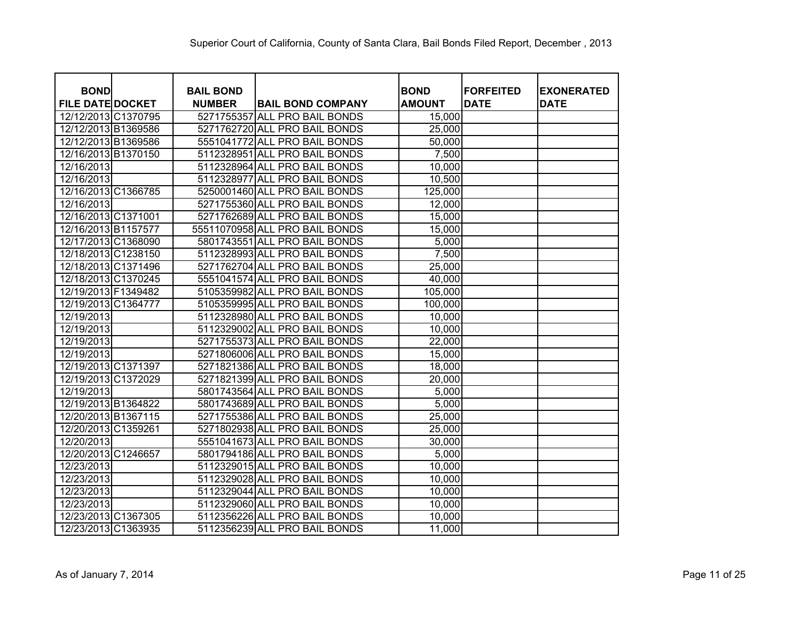| <b>BOND</b>             | <b>BAIL BOND</b> |                                | <b>BOND</b>         | <b>FORFEITED</b> | <b>EXONERATED</b> |
|-------------------------|------------------|--------------------------------|---------------------|------------------|-------------------|
| <b>FILE DATE DOCKET</b> | <b>NUMBER</b>    | <b>BAIL BOND COMPANY</b>       | <b>AMOUNT</b>       | <b>DATE</b>      | <b>DATE</b>       |
| 12/12/2013 C1370795     |                  | 5271755357 ALL PRO BAIL BONDS  | 15,000              |                  |                   |
| 12/12/2013 B1369586     |                  | 5271762720 ALL PRO BAIL BONDS  | 25,000              |                  |                   |
| 12/12/2013 B1369586     |                  | 5551041772 ALL PRO BAIL BONDS  | 50,000              |                  |                   |
| 12/16/2013 B1370150     |                  | 5112328951 ALL PRO BAIL BONDS  | 7,500               |                  |                   |
| 12/16/2013              |                  | 5112328964 ALL PRO BAIL BONDS  | 10,000              |                  |                   |
| 12/16/2013              |                  | 5112328977 ALL PRO BAIL BONDS  | 10,500              |                  |                   |
| 12/16/2013 C1366785     |                  | 5250001460 ALL PRO BAIL BONDS  | 125,000             |                  |                   |
| 12/16/2013              |                  | 5271755360 ALL PRO BAIL BONDS  | 12,000              |                  |                   |
| 12/16/2013 C1371001     |                  | 5271762689 ALL PRO BAIL BONDS  | 15,000              |                  |                   |
| 12/16/2013 B1157577     |                  | 55511070958 ALL PRO BAIL BONDS | 15,000              |                  |                   |
| 12/17/2013 C1368090     |                  | 5801743551 ALL PRO BAIL BONDS  | 5,000               |                  |                   |
| 12/18/2013 C1238150     |                  | 5112328993 ALL PRO BAIL BONDS  | 7,500               |                  |                   |
| 12/18/2013 C1371496     |                  | 5271762704 ALL PRO BAIL BONDS  | 25,000              |                  |                   |
| 12/18/2013 C1370245     |                  | 5551041574 ALL PRO BAIL BONDS  | 40,000              |                  |                   |
| 12/19/2013 F1349482     |                  | 5105359982 ALL PRO BAIL BONDS  | 105,000             |                  |                   |
| 12/19/2013 C1364777     |                  | 5105359995 ALL PRO BAIL BONDS  | 100,000             |                  |                   |
| 12/19/2013              |                  | 5112328980 ALL PRO BAIL BONDS  | 10,000              |                  |                   |
| 12/19/2013              |                  | 5112329002 ALL PRO BAIL BONDS  | 10,000              |                  |                   |
| 12/19/2013              |                  | 5271755373 ALL PRO BAIL BONDS  | 22,000              |                  |                   |
| 12/19/2013              |                  | 5271806006 ALL PRO BAIL BONDS  | 15,000              |                  |                   |
| 12/19/2013 C1371397     |                  | 5271821386 ALL PRO BAIL BONDS  | 18,000              |                  |                   |
| 12/19/2013 C1372029     |                  | 5271821399 ALL PRO BAIL BONDS  | 20,000              |                  |                   |
| 12/19/2013              |                  | 5801743564 ALL PRO BAIL BONDS  | 5,000               |                  |                   |
| 12/19/2013 B1364822     |                  | 5801743689 ALL PRO BAIL BONDS  | 5,000               |                  |                   |
| 12/20/2013 B1367115     |                  | 5271755386 ALL PRO BAIL BONDS  | $\overline{2}5,000$ |                  |                   |
| 12/20/2013 C1359261     |                  | 5271802938 ALL PRO BAIL BONDS  | 25,000              |                  |                   |
| 12/20/2013              |                  | 5551041673 ALL PRO BAIL BONDS  | 30,000              |                  |                   |
| 12/20/2013 C1246657     |                  | 5801794186 ALL PRO BAIL BONDS  | 5,000               |                  |                   |
| 12/23/2013              |                  | 5112329015 ALL PRO BAIL BONDS  | 10,000              |                  |                   |
| 12/23/2013              |                  | 5112329028 ALL PRO BAIL BONDS  | 10,000              |                  |                   |
| 12/23/2013              |                  | 5112329044 ALL PRO BAIL BONDS  | 10,000              |                  |                   |
| 12/23/2013              |                  | 5112329060 ALL PRO BAIL BONDS  | 10,000              |                  |                   |
| 12/23/2013 C1367305     |                  | 5112356226 ALL PRO BAIL BONDS  | 10,000              |                  |                   |
| 12/23/2013 C1363935     |                  | 5112356239 ALL PRO BAIL BONDS  | 11,000              |                  |                   |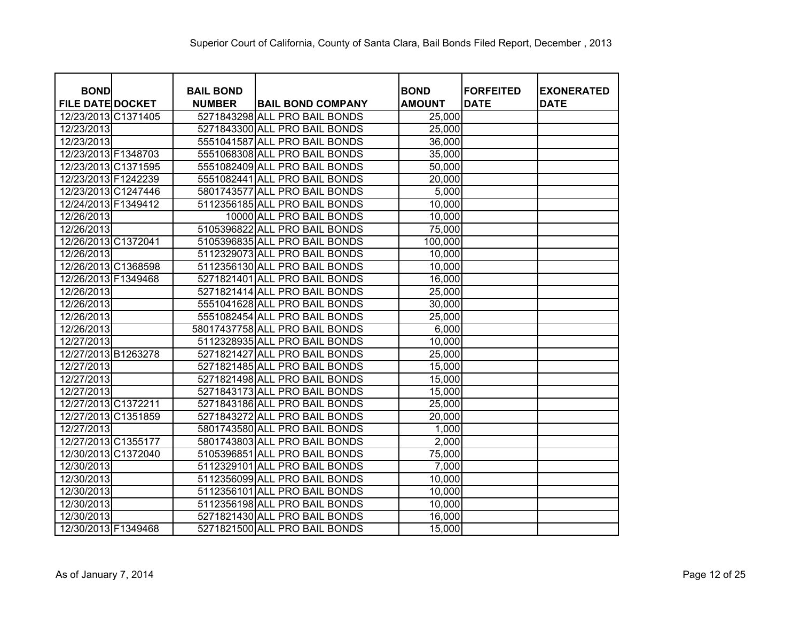| <b>BOND</b>             | <b>BAIL BOND</b> |                                | <b>BOND</b>   | <b>IFORFEITED</b> | <b>EXONERATED</b> |
|-------------------------|------------------|--------------------------------|---------------|-------------------|-------------------|
| <b>FILE DATE DOCKET</b> | <b>NUMBER</b>    | <b>BAIL BOND COMPANY</b>       | <b>AMOUNT</b> | <b>DATE</b>       | <b>DATE</b>       |
| 12/23/2013 C1371405     |                  | 5271843298 ALL PRO BAIL BONDS  | 25,000        |                   |                   |
| 12/23/2013              |                  | 5271843300 ALL PRO BAIL BONDS  | 25,000        |                   |                   |
| 12/23/2013              |                  | 5551041587 ALL PRO BAIL BONDS  | 36,000        |                   |                   |
| 12/23/2013 F1348703     |                  | 5551068308 ALL PRO BAIL BONDS  | 35,000        |                   |                   |
| 12/23/2013 C1371595     |                  | 5551082409 ALL PRO BAIL BONDS  | 50,000        |                   |                   |
| 12/23/2013 F1242239     |                  | 5551082441 ALL PRO BAIL BONDS  | 20,000        |                   |                   |
| 12/23/2013 C1247446     |                  | 5801743577 ALL PRO BAIL BONDS  | 5,000         |                   |                   |
| 12/24/2013 F1349412     |                  | 5112356185 ALL PRO BAIL BONDS  | 10,000        |                   |                   |
| 12/26/2013              |                  | 10000 ALL PRO BAIL BONDS       | 10,000        |                   |                   |
| 12/26/2013              |                  | 5105396822 ALL PRO BAIL BONDS  | 75,000        |                   |                   |
| 12/26/2013 C1372041     |                  | 5105396835 ALL PRO BAIL BONDS  | 100,000       |                   |                   |
| 12/26/2013              |                  | 5112329073 ALL PRO BAIL BONDS  | 10,000        |                   |                   |
| 12/26/2013 C1368598     |                  | 5112356130 ALL PRO BAIL BONDS  | 10,000        |                   |                   |
| 12/26/2013 F1349468     |                  | 5271821401 ALL PRO BAIL BONDS  | 16,000        |                   |                   |
| 12/26/2013              |                  | 5271821414 ALL PRO BAIL BONDS  | 25,000        |                   |                   |
| 12/26/2013              |                  | 5551041628 ALL PRO BAIL BONDS  | 30,000        |                   |                   |
| 12/26/2013              |                  | 5551082454 ALL PRO BAIL BONDS  | 25,000        |                   |                   |
| 12/26/2013              |                  | 58017437758 ALL PRO BAIL BONDS | 6,000         |                   |                   |
| 12/27/2013              |                  | 5112328935 ALL PRO BAIL BONDS  | 10,000        |                   |                   |
| 12/27/2013 B1263278     |                  | 5271821427 ALL PRO BAIL BONDS  | 25,000        |                   |                   |
| 12/27/2013              |                  | 5271821485 ALL PRO BAIL BONDS  | 15,000        |                   |                   |
| 12/27/2013              |                  | 5271821498 ALL PRO BAIL BONDS  | 15,000        |                   |                   |
| 12/27/2013              |                  | 5271843173 ALL PRO BAIL BONDS  | 15,000        |                   |                   |
| 12/27/2013 C1372211     |                  | 5271843186 ALL PRO BAIL BONDS  | 25,000        |                   |                   |
| 12/27/2013 C1351859     |                  | 5271843272 ALL PRO BAIL BONDS  | 20,000        |                   |                   |
| 12/27/2013              |                  | 5801743580 ALL PRO BAIL BONDS  | 1,000         |                   |                   |
| 12/27/2013 C1355177     |                  | 5801743803 ALL PRO BAIL BONDS  | 2,000         |                   |                   |
| 12/30/2013 C1372040     |                  | 5105396851 ALL PRO BAIL BONDS  | 75,000        |                   |                   |
| 12/30/2013              |                  | 5112329101 ALL PRO BAIL BONDS  | 7,000         |                   |                   |
| 12/30/2013              |                  | 5112356099 ALL PRO BAIL BONDS  | 10,000        |                   |                   |
| 12/30/2013              |                  | 5112356101 ALL PRO BAIL BONDS  | 10,000        |                   |                   |
| 12/30/2013              |                  | 5112356198 ALL PRO BAIL BONDS  | 10,000        |                   |                   |
| 12/30/2013              |                  | 5271821430 ALL PRO BAIL BONDS  | 16,000        |                   |                   |
| 12/30/2013 F1349468     |                  | 5271821500 ALL PRO BAIL BONDS  | 15,000        |                   |                   |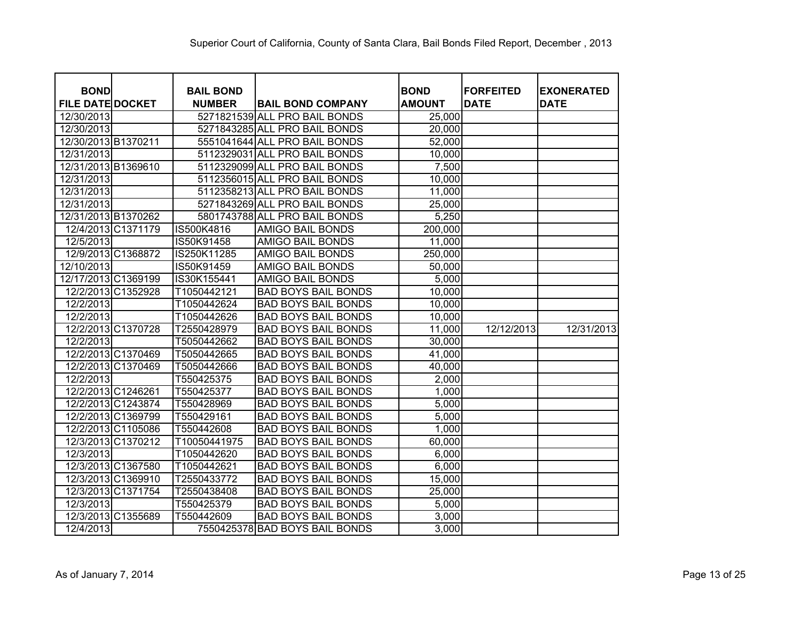| <b>BOND</b>             | <b>BAIL BOND</b> |                                | <b>BOND</b>   | <b>FORFEITED</b> | <b>EXONERATED</b> |
|-------------------------|------------------|--------------------------------|---------------|------------------|-------------------|
| <b>FILE DATE DOCKET</b> | <b>NUMBER</b>    | <b>BAIL BOND COMPANY</b>       | <b>AMOUNT</b> | <b>DATE</b>      | <b>DATE</b>       |
| 12/30/2013              |                  | 5271821539 ALL PRO BAIL BONDS  | 25,000        |                  |                   |
| 12/30/2013              |                  | 5271843285 ALL PRO BAIL BONDS  | 20,000        |                  |                   |
| 12/30/2013 B1370211     |                  | 5551041644 ALL PRO BAIL BONDS  | 52,000        |                  |                   |
| 12/31/2013              |                  | 5112329031 ALL PRO BAIL BONDS  | 10,000        |                  |                   |
| 12/31/2013 B1369610     |                  | 5112329099 ALL PRO BAIL BONDS  | 7,500         |                  |                   |
| 12/31/2013              |                  | 5112356015 ALL PRO BAIL BONDS  | 10,000        |                  |                   |
| 12/31/2013              |                  | 5112358213 ALL PRO BAIL BONDS  | 11,000        |                  |                   |
| 12/31/2013              |                  | 5271843269 ALL PRO BAIL BONDS  | 25,000        |                  |                   |
| 12/31/2013 B1370262     |                  | 5801743788 ALL PRO BAIL BONDS  | 5,250         |                  |                   |
| 12/4/2013 C1371179      | IS500K4816       | AMIGO BAIL BONDS               | 200,000       |                  |                   |
| 12/5/2013               | IS50K91458       | AMIGO BAIL BONDS               | 11,000        |                  |                   |
| 12/9/2013 C1368872      | IS250K11285      | <b>AMIGO BAIL BONDS</b>        | 250,000       |                  |                   |
| 12/10/2013              | IS50K91459       | <b>AMIGO BAIL BONDS</b>        | 50,000        |                  |                   |
| 12/17/2013 C1369199     | IS30K155441      | <b>AMIGO BAIL BONDS</b>        | 5,000         |                  |                   |
| 12/2/2013 C1352928      | T1050442121      | <b>BAD BOYS BAIL BONDS</b>     | 10,000        |                  |                   |
| 12/2/2013               | T1050442624      | <b>BAD BOYS BAIL BONDS</b>     | 10,000        |                  |                   |
| 12/2/2013               | T1050442626      | <b>BAD BOYS BAIL BONDS</b>     | 10,000        |                  |                   |
| 12/2/2013 C1370728      | T2550428979      | <b>BAD BOYS BAIL BONDS</b>     | 11,000        | 12/12/2013       | 12/31/2013        |
| 12/2/2013               | T5050442662      | <b>BAD BOYS BAIL BONDS</b>     | 30,000        |                  |                   |
| 12/2/2013 C1370469      | T5050442665      | <b>BAD BOYS BAIL BONDS</b>     | 41,000        |                  |                   |
| 12/2/2013 C1370469      | T5050442666      | <b>BAD BOYS BAIL BONDS</b>     | 40,000        |                  |                   |
| 12/2/2013               | T550425375       | <b>BAD BOYS BAIL BONDS</b>     | 2,000         |                  |                   |
| 12/2/2013 C1246261      | T550425377       | <b>BAD BOYS BAIL BONDS</b>     | 1,000         |                  |                   |
| 12/2/2013 C1243874      | T550428969       | <b>BAD BOYS BAIL BONDS</b>     | 5,000         |                  |                   |
| 12/2/2013 C1369799      | T550429161       | <b>BAD BOYS BAIL BONDS</b>     | 5,000         |                  |                   |
| 12/2/2013 C1105086      | T550442608       | <b>BAD BOYS BAIL BONDS</b>     | 1,000         |                  |                   |
| 12/3/2013 C1370212      | T10050441975     | <b>BAD BOYS BAIL BONDS</b>     | 60,000        |                  |                   |
| 12/3/2013               | T1050442620      | <b>BAD BOYS BAIL BONDS</b>     | 6,000         |                  |                   |
| 12/3/2013 C1367580      | T1050442621      | <b>BAD BOYS BAIL BONDS</b>     | 6,000         |                  |                   |
| 12/3/2013 C1369910      | T2550433772      | <b>BAD BOYS BAIL BONDS</b>     | 15,000        |                  |                   |
| 12/3/2013 C1371754      | T2550438408      | <b>BAD BOYS BAIL BONDS</b>     | 25,000        |                  |                   |
| 12/3/2013               | T550425379       | <b>BAD BOYS BAIL BONDS</b>     | 5,000         |                  |                   |
| 12/3/2013 C1355689      | T550442609       | <b>BAD BOYS BAIL BONDS</b>     | 3,000         |                  |                   |
| 12/4/2013               |                  | 7550425378 BAD BOYS BAIL BONDS | 3,000         |                  |                   |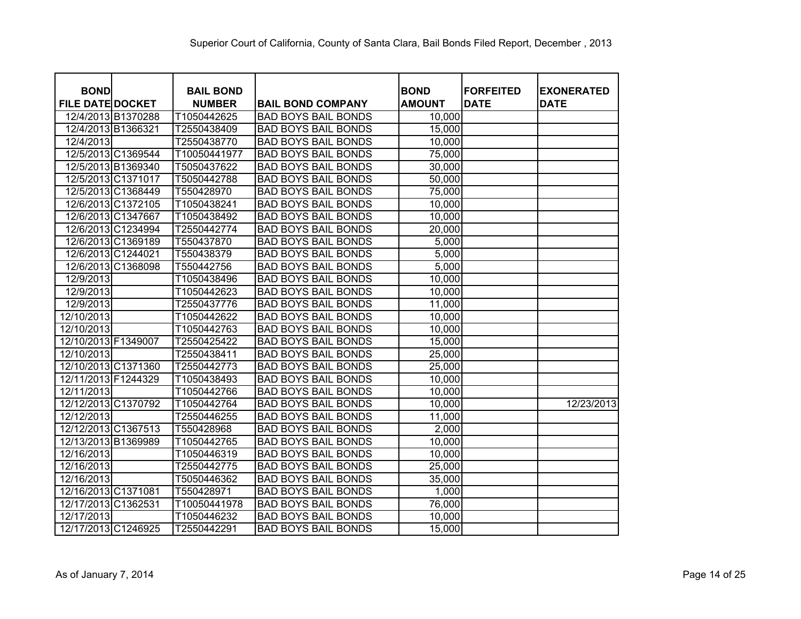| <b>BOND</b><br><b>FILE DATE DOCKET</b> |          | <b>BAIL BOND</b><br><b>NUMBER</b> | <b>BAIL BOND COMPANY</b>   | <b>BOND</b><br><b>AMOUNT</b> | <b>FORFEITED</b><br><b>DATE</b> | <b>EXONERATED</b><br><b>DATE</b> |
|----------------------------------------|----------|-----------------------------------|----------------------------|------------------------------|---------------------------------|----------------------------------|
| 12/4/2013 B1370288                     |          | T1050442625                       | <b>BAD BOYS BAIL BONDS</b> | 10,000                       |                                 |                                  |
| 12/4/2013 B1366321                     |          | T2550438409                       | <b>BAD BOYS BAIL BONDS</b> | 15,000                       |                                 |                                  |
| 12/4/2013                              |          | T2550438770                       | <b>BAD BOYS BAIL BONDS</b> | 10,000                       |                                 |                                  |
| 12/5/2013 C1369544                     |          | T10050441977                      | <b>BAD BOYS BAIL BONDS</b> | 75,000                       |                                 |                                  |
| 12/5/2013 B1369340                     |          | T5050437622                       | <b>BAD BOYS BAIL BONDS</b> | 30,000                       |                                 |                                  |
| 12/5/2013 C1371017                     |          | T5050442788                       | <b>BAD BOYS BAIL BONDS</b> | 50,000                       |                                 |                                  |
| 12/5/2013 C1368449                     |          | T550428970                        | <b>BAD BOYS BAIL BONDS</b> | 75,000                       |                                 |                                  |
| 12/6/2013 C1372105                     |          | T1050438241                       | <b>BAD BOYS BAIL BONDS</b> | 10,000                       |                                 |                                  |
| 12/6/2013 C1347667                     |          | T1050438492                       | <b>BAD BOYS BAIL BONDS</b> | 10,000                       |                                 |                                  |
| 12/6/2013 C1234994                     |          | T2550442774                       | <b>BAD BOYS BAIL BONDS</b> | 20,000                       |                                 |                                  |
| 12/6/2013 C1369189                     |          | T550437870                        | <b>BAD BOYS BAIL BONDS</b> | 5,000                        |                                 |                                  |
| 12/6/2013 C1244021                     |          | T550438379                        | <b>BAD BOYS BAIL BONDS</b> | 5,000                        |                                 |                                  |
| 12/6/2013 C1368098                     |          | T550442756                        | <b>BAD BOYS BAIL BONDS</b> | 5,000                        |                                 |                                  |
| 12/9/2013                              |          | T1050438496                       | <b>BAD BOYS BAIL BONDS</b> | 10,000                       |                                 |                                  |
| 12/9/2013                              |          | T1050442623                       | <b>BAD BOYS BAIL BONDS</b> | 10,000                       |                                 |                                  |
| 12/9/2013                              |          | T2550437776                       | <b>BAD BOYS BAIL BONDS</b> | 11,000                       |                                 |                                  |
| 12/10/2013                             |          | T1050442622                       | <b>BAD BOYS BAIL BONDS</b> | 10,000                       |                                 |                                  |
| 12/10/2013                             |          | T1050442763                       | <b>BAD BOYS BAIL BONDS</b> | 10,000                       |                                 |                                  |
| 12/10/2013 F1349007                    |          | T2550425422                       | <b>BAD BOYS BAIL BONDS</b> | 15,000                       |                                 |                                  |
| 12/10/2013                             |          | T2550438411                       | <b>BAD BOYS BAIL BONDS</b> | 25,000                       |                                 |                                  |
| 12/10/2013 C1371360                    |          | T2550442773                       | <b>BAD BOYS BAIL BONDS</b> | 25,000                       |                                 |                                  |
| 12/11/2013 F1244329                    |          | T1050438493                       | <b>BAD BOYS BAIL BONDS</b> | 10,000                       |                                 |                                  |
| 12/11/2013                             |          | T1050442766                       | <b>BAD BOYS BAIL BONDS</b> | 10,000                       |                                 |                                  |
| 12/12/2013 C1370792                    |          | T1050442764                       | <b>BAD BOYS BAIL BONDS</b> | 10,000                       |                                 | 12/23/2013                       |
| 12/12/2013                             |          | T2550446255                       | <b>BAD BOYS BAIL BONDS</b> | 11,000                       |                                 |                                  |
| 12/12/2013 C1367513                    |          | T550428968                        | <b>BAD BOYS BAIL BONDS</b> | 2,000                        |                                 |                                  |
| 12/13/2013 B1369989                    |          | T1050442765                       | <b>BAD BOYS BAIL BONDS</b> | 10,000                       |                                 |                                  |
| 12/16/2013                             |          | T1050446319                       | <b>BAD BOYS BAIL BONDS</b> | 10,000                       |                                 |                                  |
| 12/16/2013                             |          | T2550442775                       | <b>BAD BOYS BAIL BONDS</b> | 25,000                       |                                 |                                  |
| 12/16/2013                             |          | T5050446362                       | <b>BAD BOYS BAIL BONDS</b> | 35,000                       |                                 |                                  |
| 12/16/2013 C1371081                    |          | T550428971                        | <b>BAD BOYS BAIL BONDS</b> | 1,000                        |                                 |                                  |
| 12/17/2013                             | C1362531 | T10050441978                      | <b>BAD BOYS BAIL BONDS</b> | 76,000                       |                                 |                                  |
| 12/17/2013                             |          | T1050446232                       | <b>BAD BOYS BAIL BONDS</b> | 10,000                       |                                 |                                  |
| 12/17/2013 C1246925                    |          | T2550442291                       | <b>BAD BOYS BAIL BONDS</b> | 15,000                       |                                 |                                  |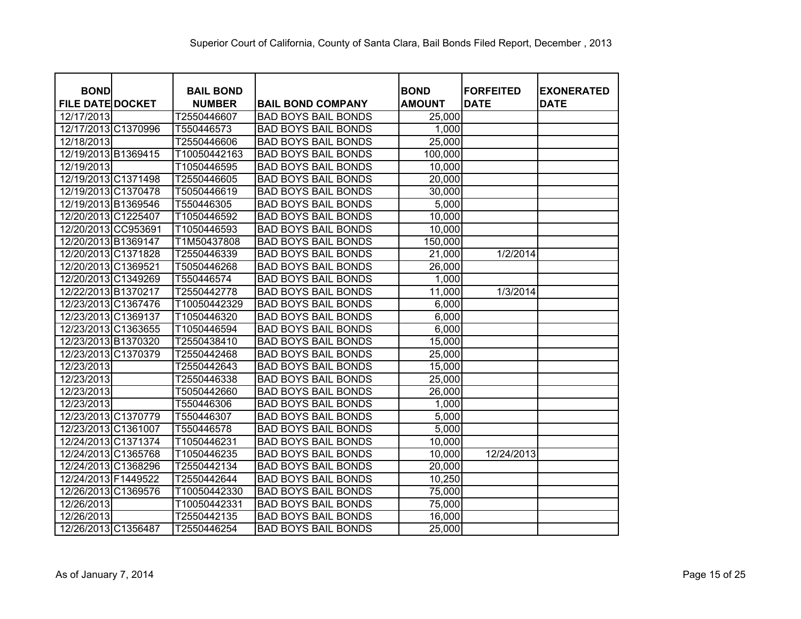| <b>BOND</b>             | <b>BAIL BOND</b> |                            | <b>BOND</b>   | <b>FORFEITED</b> | <b>EXONERATED</b> |
|-------------------------|------------------|----------------------------|---------------|------------------|-------------------|
| <b>FILE DATE DOCKET</b> | <b>NUMBER</b>    | <b>BAIL BOND COMPANY</b>   | <b>AMOUNT</b> | <b>DATE</b>      | <b>DATE</b>       |
| 12/17/2013              | T2550446607      | <b>BAD BOYS BAIL BONDS</b> | 25,000        |                  |                   |
| 12/17/2013 C1370996     | T550446573       | <b>BAD BOYS BAIL BONDS</b> | 1,000         |                  |                   |
| 12/18/2013              | T2550446606      | <b>BAD BOYS BAIL BONDS</b> | 25,000        |                  |                   |
| 12/19/2013 B1369415     | T10050442163     | <b>BAD BOYS BAIL BONDS</b> | 100,000       |                  |                   |
| 12/19/2013              | T1050446595      | <b>BAD BOYS BAIL BONDS</b> | 10,000        |                  |                   |
| 12/19/2013 C1371498     | T2550446605      | <b>BAD BOYS BAIL BONDS</b> | 20,000        |                  |                   |
| 12/19/2013 C1370478     | T5050446619      | <b>BAD BOYS BAIL BONDS</b> | 30,000        |                  |                   |
| 12/19/2013 B1369546     | T550446305       | <b>BAD BOYS BAIL BONDS</b> | 5,000         |                  |                   |
| 12/20/2013 C1225407     | T1050446592      | <b>BAD BOYS BAIL BONDS</b> | 10,000        |                  |                   |
| 12/20/2013 CC953691     | T1050446593      | <b>BAD BOYS BAIL BONDS</b> | 10,000        |                  |                   |
| 12/20/2013 B1369147     | T1M50437808      | <b>BAD BOYS BAIL BONDS</b> | 150,000       |                  |                   |
| 12/20/2013 C1371828     | T2550446339      | <b>BAD BOYS BAIL BONDS</b> | 21,000        | 1/2/2014         |                   |
| 12/20/2013 C1369521     | T5050446268      | <b>BAD BOYS BAIL BONDS</b> | 26,000        |                  |                   |
| 12/20/2013 C1349269     | T550446574       | <b>BAD BOYS BAIL BONDS</b> | 1,000         |                  |                   |
| 12/22/2013 B1370217     | T2550442778      | <b>BAD BOYS BAIL BONDS</b> | 11,000        | 1/3/2014         |                   |
| 12/23/2013 C1367476     | T10050442329     | <b>BAD BOYS BAIL BONDS</b> | 6,000         |                  |                   |
| 12/23/2013 C1369137     | T1050446320      | <b>BAD BOYS BAIL BONDS</b> | 6,000         |                  |                   |
| 12/23/2013 C1363655     | T1050446594      | <b>BAD BOYS BAIL BONDS</b> | 6,000         |                  |                   |
| 12/23/2013 B1370320     | T2550438410      | <b>BAD BOYS BAIL BONDS</b> | 15,000        |                  |                   |
| 12/23/2013 C1370379     | T2550442468      | <b>BAD BOYS BAIL BONDS</b> | 25,000        |                  |                   |
| 12/23/2013              | T2550442643      | <b>BAD BOYS BAIL BONDS</b> | 15,000        |                  |                   |
| 12/23/2013              | T2550446338      | <b>BAD BOYS BAIL BONDS</b> | 25,000        |                  |                   |
| 12/23/2013              | T5050442660      | <b>BAD BOYS BAIL BONDS</b> | 26,000        |                  |                   |
| 12/23/2013              | T550446306       | <b>BAD BOYS BAIL BONDS</b> | 1,000         |                  |                   |
| 12/23/2013 C1370779     | T550446307       | <b>BAD BOYS BAIL BONDS</b> | 5,000         |                  |                   |
| 12/23/2013 C1361007     | T550446578       | <b>BAD BOYS BAIL BONDS</b> | 5,000         |                  |                   |
| 12/24/2013 C1371374     | T1050446231      | <b>BAD BOYS BAIL BONDS</b> | 10,000        |                  |                   |
| 12/24/2013 C1365768     | T1050446235      | <b>BAD BOYS BAIL BONDS</b> | 10,000        | 12/24/2013       |                   |
| 12/24/2013 C1368296     | T2550442134      | <b>BAD BOYS BAIL BONDS</b> | 20,000        |                  |                   |
| 12/24/2013 F1449522     | T2550442644      | <b>BAD BOYS BAIL BONDS</b> | 10,250        |                  |                   |
| 12/26/2013 C1369576     | T10050442330     | <b>BAD BOYS BAIL BONDS</b> | 75,000        |                  |                   |
| 12/26/2013              | T10050442331     | <b>BAD BOYS BAIL BONDS</b> | 75,000        |                  |                   |
| 12/26/2013              | T2550442135      | <b>BAD BOYS BAIL BONDS</b> | 16,000        |                  |                   |
| 12/26/2013 C1356487     | T2550446254      | <b>BAD BOYS BAIL BONDS</b> | 25,000        |                  |                   |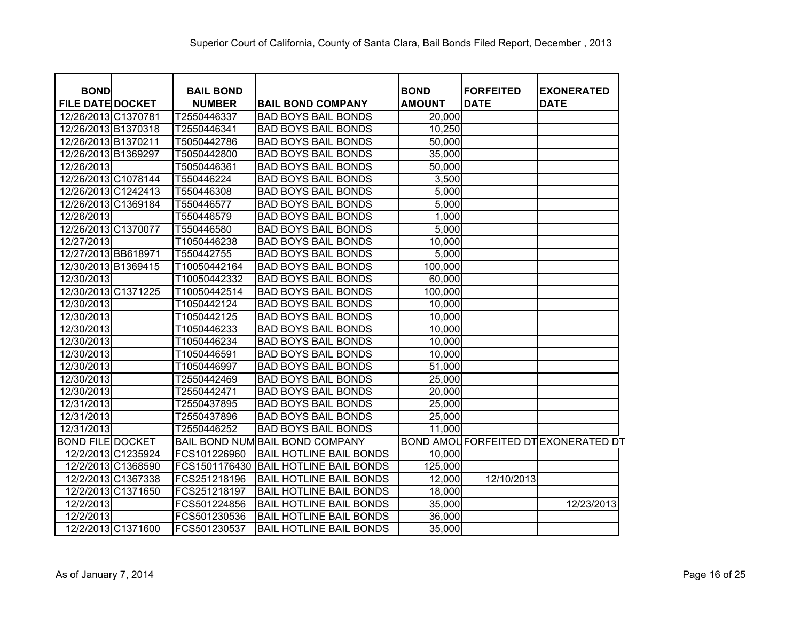| <b>BOND</b>             |                    | <b>BAIL BOND</b> |                                 | <b>BOND</b>   | <b>FORFEITED</b> | <b>EXONERATED</b>                         |
|-------------------------|--------------------|------------------|---------------------------------|---------------|------------------|-------------------------------------------|
| <b>FILE DATE DOCKET</b> |                    | <b>NUMBER</b>    | <b>BAIL BOND COMPANY</b>        | <b>AMOUNT</b> | <b>DATE</b>      | <b>DATE</b>                               |
| 12/26/2013 C1370781     |                    | T2550446337      | <b>BAD BOYS BAIL BONDS</b>      | 20,000        |                  |                                           |
| 12/26/2013 B1370318     |                    | T2550446341      | <b>BAD BOYS BAIL BONDS</b>      | 10,250        |                  |                                           |
| 12/26/2013 B1370211     |                    | T5050442786      | <b>BAD BOYS BAIL BONDS</b>      | 50,000        |                  |                                           |
| 12/26/2013 B1369297     |                    | T5050442800      | <b>BAD BOYS BAIL BONDS</b>      | 35,000        |                  |                                           |
| 12/26/2013              |                    | T5050446361      | <b>BAD BOYS BAIL BONDS</b>      | 50,000        |                  |                                           |
| 12/26/2013 C1078144     |                    | T550446224       | <b>BAD BOYS BAIL BONDS</b>      | 3,500         |                  |                                           |
| 12/26/2013 C1242413     |                    | T550446308       | <b>BAD BOYS BAIL BONDS</b>      | 5,000         |                  |                                           |
| 12/26/2013 C1369184     |                    | T550446577       | <b>BAD BOYS BAIL BONDS</b>      | 5,000         |                  |                                           |
| 12/26/2013              |                    | T550446579       | <b>BAD BOYS BAIL BONDS</b>      | 1,000         |                  |                                           |
| 12/26/2013 C1370077     |                    | T550446580       | <b>BAD BOYS BAIL BONDS</b>      | 5,000         |                  |                                           |
| 12/27/2013              |                    | T1050446238      | <b>BAD BOYS BAIL BONDS</b>      | 10,000        |                  |                                           |
| 12/27/2013 BB618971     |                    | T550442755       | <b>BAD BOYS BAIL BONDS</b>      | 5,000         |                  |                                           |
| 12/30/2013 B1369415     |                    | T10050442164     | <b>BAD BOYS BAIL BONDS</b>      | 100,000       |                  |                                           |
| 12/30/2013              |                    | T10050442332     | <b>BAD BOYS BAIL BONDS</b>      | 60,000        |                  |                                           |
| 12/30/2013 C1371225     |                    | T10050442514     | <b>BAD BOYS BAIL BONDS</b>      | 100,000       |                  |                                           |
| 12/30/2013              |                    | T1050442124      | <b>BAD BOYS BAIL BONDS</b>      | 10,000        |                  |                                           |
| 12/30/2013              |                    | T1050442125      | <b>BAD BOYS BAIL BONDS</b>      | 10,000        |                  |                                           |
| 12/30/2013              |                    | T1050446233      | <b>BAD BOYS BAIL BONDS</b>      | 10,000        |                  |                                           |
| 12/30/2013              |                    | T1050446234      | <b>BAD BOYS BAIL BONDS</b>      | 10,000        |                  |                                           |
| 12/30/2013              |                    | T1050446591      | <b>BAD BOYS BAIL BONDS</b>      | 10,000        |                  |                                           |
| 12/30/2013              |                    | T1050446997      | <b>BAD BOYS BAIL BONDS</b>      | 51,000        |                  |                                           |
| 12/30/2013              |                    | T2550442469      | <b>BAD BOYS BAIL BONDS</b>      | 25,000        |                  |                                           |
| 12/30/2013              |                    | T2550442471      | <b>BAD BOYS BAIL BONDS</b>      | 20,000        |                  |                                           |
| 12/31/2013              |                    | T2550437895      | <b>BAD BOYS BAIL BONDS</b>      | 25,000        |                  |                                           |
| 12/31/2013              |                    | T2550437896      | <b>BAD BOYS BAIL BONDS</b>      | 25,000        |                  |                                           |
| 12/31/2013              |                    | T2550446252      | <b>BAD BOYS BAIL BONDS</b>      | 11,000        |                  |                                           |
| <b>BOND FILE DOCKET</b> |                    |                  | BAIL BOND NUM BAIL BOND COMPANY |               |                  | <b>BOND AMOUFORFEITED DTEXONERATED DT</b> |
|                         | 12/2/2013 C1235924 | FCS101226960     | <b>BAIL HOTLINE BAIL BONDS</b>  | 10,000        |                  |                                           |
|                         | 12/2/2013 C1368590 | FCS1501176430    | <b>BAIL HOTLINE BAIL BONDS</b>  | 125,000       |                  |                                           |
|                         | 12/2/2013 C1367338 | FCS251218196     | <b>BAIL HOTLINE BAIL BONDS</b>  | 12,000        | 12/10/2013       |                                           |
|                         | 12/2/2013 C1371650 | FCS251218197     | <b>BAIL HOTLINE BAIL BONDS</b>  | 18,000        |                  |                                           |
| 12/2/2013               |                    | FCS501224856     | <b>BAIL HOTLINE BAIL BONDS</b>  | 35,000        |                  | 12/23/2013                                |
| 12/2/2013               |                    | FCS501230536     | <b>BAIL HOTLINE BAIL BONDS</b>  | 36,000        |                  |                                           |
|                         | 12/2/2013 C1371600 | FCS501230537     | <b>BAIL HOTLINE BAIL BONDS</b>  | 35,000        |                  |                                           |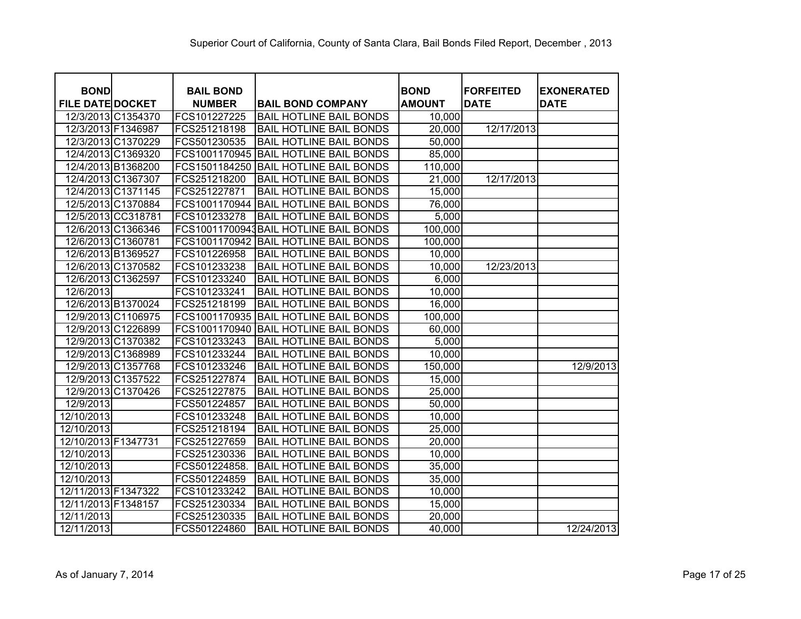| <b>BOND</b>             | <b>BAIL BOND</b> |                                       | <b>BOND</b>   | <b>FORFEITED</b> | <b>EXONERATED</b> |
|-------------------------|------------------|---------------------------------------|---------------|------------------|-------------------|
| <b>FILE DATE DOCKET</b> | <b>NUMBER</b>    | <b>BAIL BOND COMPANY</b>              | <b>AMOUNT</b> | <b>DATE</b>      | <b>DATE</b>       |
| 12/3/2013 C1354370      | FCS101227225     | <b>BAIL HOTLINE BAIL BONDS</b>        | 10,000        |                  |                   |
| 12/3/2013 F1346987      | FCS251218198     | <b>BAIL HOTLINE BAIL BONDS</b>        | 20,000        | 12/17/2013       |                   |
| 12/3/2013 C1370229      | FCS501230535     | <b>BAIL HOTLINE BAIL BONDS</b>        | 50,000        |                  |                   |
| 12/4/2013 C1369320      | FCS1001170945    | <b>BAIL HOTLINE BAIL BONDS</b>        | 85,000        |                  |                   |
| 12/4/2013 B1368200      | FCS1501184250    | <b>BAIL HOTLINE BAIL BONDS</b>        | 110,000       |                  |                   |
| 12/4/2013 C1367307      | FCS251218200     | <b>BAIL HOTLINE BAIL BONDS</b>        | 21,000        | 12/17/2013       |                   |
| 12/4/2013 C1371145      | FCS251227871     | <b>BAIL HOTLINE BAIL BONDS</b>        | 15,000        |                  |                   |
| 12/5/2013 C1370884      | FCS1001170944    | <b>BAIL HOTLINE BAIL BONDS</b>        | 76,000        |                  |                   |
| 12/5/2013 CC318781      | FCS101233278     | <b>BAIL HOTLINE BAIL BONDS</b>        | 5,000         |                  |                   |
| 12/6/2013 C1366346      |                  | FCS10011700943BAIL HOTLINE BAIL BONDS | 100,000       |                  |                   |
| 12/6/2013 C1360781      | FCS1001170942    | <b>BAIL HOTLINE BAIL BONDS</b>        | 100,000       |                  |                   |
| 12/6/2013 B1369527      | FCS101226958     | <b>BAIL HOTLINE BAIL BONDS</b>        | 10,000        |                  |                   |
| 12/6/2013 C1370582      | FCS101233238     | <b>BAIL HOTLINE BAIL BONDS</b>        | 10,000        | 12/23/2013       |                   |
| 12/6/2013 C1362597      | FCS101233240     | <b>BAIL HOTLINE BAIL BONDS</b>        | 6,000         |                  |                   |
| 12/6/2013               | FCS101233241     | <b>BAIL HOTLINE BAIL BONDS</b>        | 10,000        |                  |                   |
| 12/6/2013 B1370024      | FCS251218199     | <b>BAIL HOTLINE BAIL BONDS</b>        | 16,000        |                  |                   |
| 12/9/2013 C1106975      | FCS1001170935    | <b>BAIL HOTLINE BAIL BONDS</b>        | 100,000       |                  |                   |
| 12/9/2013 C1226899      | FCS1001170940    | <b>BAIL HOTLINE BAIL BONDS</b>        | 60,000        |                  |                   |
| 12/9/2013 C1370382      | FCS101233243     | <b>BAIL HOTLINE BAIL BONDS</b>        | 5,000         |                  |                   |
| 12/9/2013 C1368989      | FCS101233244     | <b>BAIL HOTLINE BAIL BONDS</b>        | 10,000        |                  |                   |
| 12/9/2013 C1357768      | FCS101233246     | <b>BAIL HOTLINE BAIL BONDS</b>        | 150,000       |                  | 12/9/2013         |
| 12/9/2013 C1357522      | FCS251227874     | <b>BAIL HOTLINE BAIL BONDS</b>        | 15,000        |                  |                   |
| 12/9/2013 C1370426      | FCS251227875     | <b>BAIL HOTLINE BAIL BONDS</b>        | 25,000        |                  |                   |
| 12/9/2013               | FCS501224857     | <b>BAIL HOTLINE BAIL BONDS</b>        | 50,000        |                  |                   |
| 12/10/2013              | FCS101233248     | <b>BAIL HOTLINE BAIL BONDS</b>        | 10,000        |                  |                   |
| 12/10/2013              | FCS251218194     | <b>BAIL HOTLINE BAIL BONDS</b>        | 25,000        |                  |                   |
| 12/10/2013 F1347731     | FCS251227659     | <b>BAIL HOTLINE BAIL BONDS</b>        | 20,000        |                  |                   |
| 12/10/2013              | FCS251230336     | <b>BAIL HOTLINE BAIL BONDS</b>        | 10,000        |                  |                   |
| 12/10/2013              | FCS501224858.    | <b>BAIL HOTLINE BAIL BONDS</b>        | 35,000        |                  |                   |
| 12/10/2013              | FCS501224859     | <b>BAIL HOTLINE BAIL BONDS</b>        | 35,000        |                  |                   |
| 12/11/2013 F1347322     | FCS101233242     | <b>BAIL HOTLINE BAIL BONDS</b>        | 10,000        |                  |                   |
| 12/11/2013 F1348157     | FCS251230334     | <b>BAIL HOTLINE BAIL BONDS</b>        | 15,000        |                  |                   |
| 12/11/2013              | FCS251230335     | <b>BAIL HOTLINE BAIL BONDS</b>        | 20,000        |                  |                   |
| 12/11/2013              | FCS501224860     | <b>BAIL HOTLINE BAIL BONDS</b>        | 40,000        |                  | 12/24/2013        |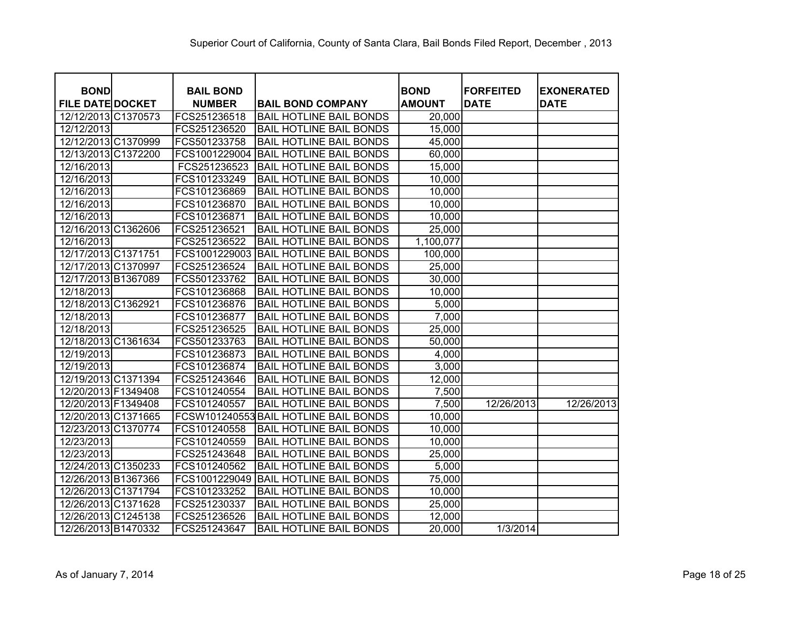| <b>BOND</b><br><b>FILE DATE DOCKET</b> | <b>BAIL BOND</b><br><b>NUMBER</b> | <b>BAIL BOND COMPANY</b>              | <b>BOND</b><br><b>AMOUNT</b> | <b>FORFEITED</b><br><b>DATE</b> | <b>EXONERATED</b><br><b>DATE</b> |
|----------------------------------------|-----------------------------------|---------------------------------------|------------------------------|---------------------------------|----------------------------------|
| 12/12/2013 C1370573                    | FCS251236518                      | <b>BAIL HOTLINE BAIL BONDS</b>        | 20,000                       |                                 |                                  |
| 12/12/2013                             | FCS251236520                      | <b>BAIL HOTLINE BAIL BONDS</b>        | 15,000                       |                                 |                                  |
| 12/12/2013 C1370999                    | FCS501233758                      | <b>BAIL HOTLINE BAIL BONDS</b>        | 45,000                       |                                 |                                  |
| 12/13/2013 C1372200                    | FCS1001229004                     | <b>BAIL HOTLINE BAIL BONDS</b>        | 60,000                       |                                 |                                  |
| 12/16/2013                             | FCS251236523                      | <b>BAIL HOTLINE BAIL BONDS</b>        | 15,000                       |                                 |                                  |
| 12/16/2013                             | FCS101233249                      | <b>BAIL HOTLINE BAIL BONDS</b>        | 10,000                       |                                 |                                  |
| 12/16/2013                             | FCS101236869                      | <b>BAIL HOTLINE BAIL BONDS</b>        | 10,000                       |                                 |                                  |
| 12/16/2013                             | FCS101236870                      | <b>BAIL HOTLINE BAIL BONDS</b>        | 10,000                       |                                 |                                  |
| 12/16/2013                             | FCS101236871                      | <b>BAIL HOTLINE BAIL BONDS</b>        | 10,000                       |                                 |                                  |
| 12/16/2013 C1362606                    | FCS251236521                      | <b>BAIL HOTLINE BAIL BONDS</b>        | 25,000                       |                                 |                                  |
| 12/16/2013                             | FCS251236522                      | <b>BAIL HOTLINE BAIL BONDS</b>        | 1,100,077                    |                                 |                                  |
| 12/17/2013 C1371751                    | FCS1001229003                     | <b>BAIL HOTLINE BAIL BONDS</b>        | 100,000                      |                                 |                                  |
| 12/17/2013 C1370997                    | FCS251236524                      | <b>BAIL HOTLINE BAIL BONDS</b>        | 25,000                       |                                 |                                  |
| 12/17/2013 B1367089                    | FCS501233762                      | <b>BAIL HOTLINE BAIL BONDS</b>        | 30,000                       |                                 |                                  |
| 12/18/2013                             | FCS101236868                      | <b>BAIL HOTLINE BAIL BONDS</b>        | 10,000                       |                                 |                                  |
| 12/18/2013 C1362921                    | FCS101236876                      | <b>BAIL HOTLINE BAIL BONDS</b>        | 5,000                        |                                 |                                  |
| 12/18/2013                             | FCS101236877                      | <b>BAIL HOTLINE BAIL BONDS</b>        | 7,000                        |                                 |                                  |
| 12/18/2013                             | FCS251236525                      | <b>BAIL HOTLINE BAIL BONDS</b>        | 25,000                       |                                 |                                  |
| 12/18/2013 C1361634                    | FCS501233763                      | <b>BAIL HOTLINE BAIL BONDS</b>        | 50,000                       |                                 |                                  |
| 12/19/2013                             | FCS101236873                      | <b>BAIL HOTLINE BAIL BONDS</b>        | 4,000                        |                                 |                                  |
| 12/19/2013                             | FCS101236874                      | <b>BAIL HOTLINE BAIL BONDS</b>        | 3,000                        |                                 |                                  |
| 12/19/2013 C1371394                    | FCS251243646                      | <b>BAIL HOTLINE BAIL BONDS</b>        | 12,000                       |                                 |                                  |
| 12/20/2013 F1349408                    | FCS101240554                      | <b>BAIL HOTLINE BAIL BONDS</b>        | 7,500                        |                                 |                                  |
| 12/20/2013 F1349408                    | FCS101240557                      | <b>BAIL HOTLINE BAIL BONDS</b>        | 7,500                        | 12/26/2013                      | 12/26/2013                       |
| 12/20/2013 C1371665                    |                                   | FCSW101240553 BAIL HOTLINE BAIL BONDS | 10,000                       |                                 |                                  |
| 12/23/2013 C1370774                    | FCS101240558                      | <b>BAIL HOTLINE BAIL BONDS</b>        | 10,000                       |                                 |                                  |
| 12/23/2013                             | FCS101240559                      | <b>BAIL HOTLINE BAIL BONDS</b>        | 10,000                       |                                 |                                  |
| 12/23/2013                             | FCS251243648                      | <b>BAIL HOTLINE BAIL BONDS</b>        | 25,000                       |                                 |                                  |
| 12/24/2013 C1350233                    | FCS101240562                      | <b>BAIL HOTLINE BAIL BONDS</b>        | 5,000                        |                                 |                                  |
| 12/26/2013 B1367366                    | FCS1001229049                     | <b>BAIL HOTLINE BAIL BONDS</b>        | 75,000                       |                                 |                                  |
| 12/26/2013 C1371794                    | FCS101233252                      | <b>BAIL HOTLINE BAIL BONDS</b>        | 10,000                       |                                 |                                  |
| 12/26/2013 C1371628                    | FCS251230337                      | <b>BAIL HOTLINE BAIL BONDS</b>        | 25,000                       |                                 |                                  |
| 12/26/2013 C1245138                    | FCS251236526                      | <b>BAIL HOTLINE BAIL BONDS</b>        | 12,000                       |                                 |                                  |
| 12/26/2013 B1470332                    | FCS251243647                      | <b>BAIL HOTLINE BAIL BONDS</b>        | 20,000                       | 1/3/2014                        |                                  |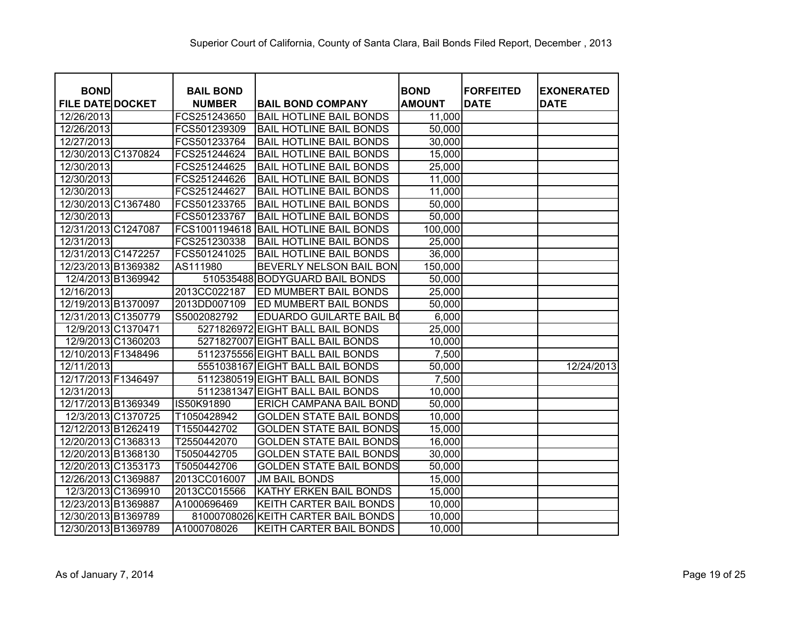| <b>BOND</b><br><b>FILE DATE DOCKET</b> | <b>BAIL BOND</b><br><b>NUMBER</b> | <b>BAIL BOND COMPANY</b>            | <b>BOND</b><br><b>AMOUNT</b> | <b>FORFEITED</b><br><b>DATE</b> | <b>EXONERATED</b><br><b>DATE</b> |
|----------------------------------------|-----------------------------------|-------------------------------------|------------------------------|---------------------------------|----------------------------------|
| 12/26/2013                             | FCS251243650                      | <b>BAIL HOTLINE BAIL BONDS</b>      | 11,000                       |                                 |                                  |
| 12/26/2013                             | FCS501239309                      | <b>BAIL HOTLINE BAIL BONDS</b>      | 50,000                       |                                 |                                  |
| 12/27/2013                             | FCS501233764                      | <b>BAIL HOTLINE BAIL BONDS</b>      | 30,000                       |                                 |                                  |
| 12/30/2013 C1370824                    | FCS251244624                      | <b>BAIL HOTLINE BAIL BONDS</b>      | 15,000                       |                                 |                                  |
| 12/30/2013                             | FCS251244625                      | <b>BAIL HOTLINE BAIL BONDS</b>      | 25,000                       |                                 |                                  |
| 12/30/2013                             | FCS251244626                      | <b>BAIL HOTLINE BAIL BONDS</b>      | 11,000                       |                                 |                                  |
| 12/30/2013                             | FCS251244627                      | <b>BAIL HOTLINE BAIL BONDS</b>      | 11,000                       |                                 |                                  |
| 12/30/2013 C1367480                    | FCS501233765                      | <b>BAIL HOTLINE BAIL BONDS</b>      | 50,000                       |                                 |                                  |
| 12/30/2013                             | FCS501233767                      | <b>BAIL HOTLINE BAIL BONDS</b>      | 50,000                       |                                 |                                  |
| 12/31/2013 C1247087                    | FCS1001194618                     | <b>BAIL HOTLINE BAIL BONDS</b>      | 100,000                      |                                 |                                  |
| 12/31/2013                             | FCS251230338                      | <b>BAIL HOTLINE BAIL BONDS</b>      | 25,000                       |                                 |                                  |
| 12/31/2013 C1472257                    | FCS501241025                      | <b>BAIL HOTLINE BAIL BONDS</b>      | 36,000                       |                                 |                                  |
| 12/23/2013 B1369382                    | AS111980                          | BEVERLY NELSON BAIL BON             | 150,000                      |                                 |                                  |
| 12/4/2013 B1369942                     |                                   | 510535488 BODYGUARD BAIL BONDS      | 50,000                       |                                 |                                  |
| 12/16/2013                             | 2013CC022187                      | ED MUMBERT BAIL BONDS               | 25,000                       |                                 |                                  |
| 12/19/2013 B1370097                    | 2013DD007109                      | ED MUMBERT BAIL BONDS               | 50,000                       |                                 |                                  |
| 12/31/2013 C1350779                    | S5002082792                       | EDUARDO GUILARTE BAIL BO            | 6,000                        |                                 |                                  |
| 12/9/2013 C1370471                     |                                   | 5271826972 EIGHT BALL BAIL BONDS    | 25,000                       |                                 |                                  |
| 12/9/2013 C1360203                     |                                   | 5271827007 EIGHT BALL BAIL BONDS    | 10,000                       |                                 |                                  |
| 12/10/2013 F1348496                    |                                   | 5112375556 EIGHT BALL BAIL BONDS    | 7,500                        |                                 |                                  |
| 12/11/2013                             |                                   | 5551038167 EIGHT BALL BAIL BONDS    | 50,000                       |                                 | 12/24/2013                       |
| 12/17/2013 F1346497                    |                                   | 5112380519 EIGHT BALL BAIL BONDS    | 7,500                        |                                 |                                  |
| 12/31/2013                             | 5112381347                        | <b>EIGHT BALL BAIL BONDS</b>        | 10,000                       |                                 |                                  |
| 12/17/2013 B1369349                    | IS50K91890                        | ERICH CAMPANA BAIL BOND             | 50,000                       |                                 |                                  |
| 12/3/2013 C1370725                     | T1050428942                       | <b>GOLDEN STATE BAIL BONDS</b>      | 10,000                       |                                 |                                  |
| 12/12/2013 B1262419                    | T1550442702                       | <b>GOLDEN STATE BAIL BONDS</b>      | 15,000                       |                                 |                                  |
| 12/20/2013 C1368313                    | T2550442070                       | <b>GOLDEN STATE BAIL BONDS</b>      | 16,000                       |                                 |                                  |
| 12/20/2013 B1368130                    | T5050442705                       | <b>GOLDEN STATE BAIL BONDS</b>      | 30,000                       |                                 |                                  |
| 12/20/2013 C1353173                    | T5050442706                       | <b>GOLDEN STATE BAIL BONDS</b>      | 50,000                       |                                 |                                  |
| 12/26/2013 C1369887                    | 2013CC016007                      | <b>JM BAIL BONDS</b>                | 15,000                       |                                 |                                  |
| 12/3/2013 C1369910                     | 2013CC015566                      | KATHY ERKEN BAIL BONDS              | 15,000                       |                                 |                                  |
| 12/23/2013 B1369887                    | A1000696469                       | KEITH CARTER BAIL BONDS             | 10,000                       |                                 |                                  |
| 12/30/2013 B1369789                    |                                   | 81000708026 KEITH CARTER BAIL BONDS | 10,000                       |                                 |                                  |
| 12/30/2013 B1369789                    | A1000708026                       | KEITH CARTER BAIL BONDS             | 10,000                       |                                 |                                  |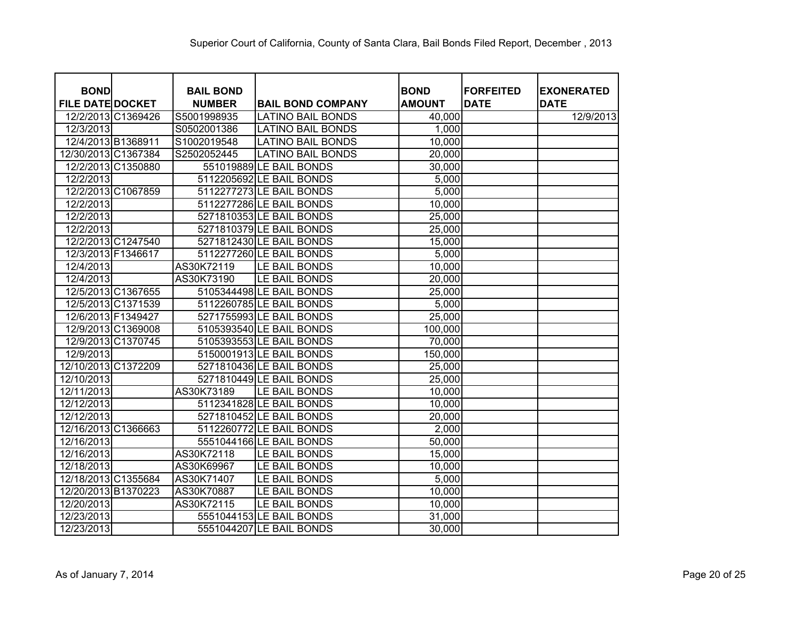| <b>BOND</b>             | <b>BAIL BOND</b> |                          | <b>BOND</b>   | <b>FORFEITED</b> | <b>EXONERATED</b> |
|-------------------------|------------------|--------------------------|---------------|------------------|-------------------|
| <b>FILE DATE DOCKET</b> | <b>NUMBER</b>    | <b>BAIL BOND COMPANY</b> | <b>AMOUNT</b> | <b>DATE</b>      | <b>DATE</b>       |
| 12/2/2013 C1369426      | S5001998935      | <b>LATINO BAIL BONDS</b> | 40,000        |                  | 12/9/2013         |
| 12/3/2013               | S0502001386      | <b>LATINO BAIL BONDS</b> | 1,000         |                  |                   |
| 12/4/2013 B1368911      | S1002019548      | <b>LATINO BAIL BONDS</b> | 10,000        |                  |                   |
| 12/30/2013 C1367384     | S2502052445      | <b>LATINO BAIL BONDS</b> | 20,000        |                  |                   |
| 12/2/2013 C1350880      |                  | 551019889 LE BAIL BONDS  | 30,000        |                  |                   |
| 12/2/2013               |                  | 5112205692 LE BAIL BONDS | 5,000         |                  |                   |
| 12/2/2013 C1067859      |                  | 5112277273 LE BAIL BONDS | 5,000         |                  |                   |
| 12/2/2013               |                  | 5112277286 LE BAIL BONDS | 10,000        |                  |                   |
| 12/2/2013               |                  | 5271810353 LE BAIL BONDS | 25,000        |                  |                   |
| 12/2/2013               |                  | 5271810379 LE BAIL BONDS | 25,000        |                  |                   |
| 12/2/2013 C1247540      |                  | 5271812430 LE BAIL BONDS | 15,000        |                  |                   |
| 12/3/2013 F1346617      |                  | 5112277260 LE BAIL BONDS | 5,000         |                  |                   |
| 12/4/2013               | AS30K72119       | LE BAIL BONDS            | 10,000        |                  |                   |
| 12/4/2013               | AS30K73190       | LE BAIL BONDS            | 20,000        |                  |                   |
| 12/5/2013 C1367655      |                  | 5105344498 LE BAIL BONDS | 25,000        |                  |                   |
| 12/5/2013 C1371539      |                  | 5112260785 LE BAIL BONDS | 5,000         |                  |                   |
| 12/6/2013 F1349427      |                  | 5271755993 LE BAIL BONDS | 25,000        |                  |                   |
| 12/9/2013 C1369008      |                  | 5105393540 LE BAIL BONDS | 100,000       |                  |                   |
| 12/9/2013 C1370745      |                  | 5105393553 LE BAIL BONDS | 70,000        |                  |                   |
| 12/9/2013               |                  | 5150001913 LE BAIL BONDS | 150,000       |                  |                   |
| 12/10/2013 C1372209     |                  | 5271810436 LE BAIL BONDS | 25,000        |                  |                   |
| 12/10/2013              |                  | 5271810449 LE BAIL BONDS | 25,000        |                  |                   |
| 12/11/2013              | AS30K73189       | LE BAIL BONDS            | 10,000        |                  |                   |
| 12/12/2013              |                  | 5112341828 LE BAIL BONDS | 10,000        |                  |                   |
| 12/12/2013              |                  | 5271810452 LE BAIL BONDS | 20,000        |                  |                   |
| 12/16/2013 C1366663     |                  | 5112260772 LE BAIL BONDS | 2,000         |                  |                   |
| 12/16/2013              |                  | 5551044166 LE BAIL BONDS | 50,000        |                  |                   |
| 12/16/2013              | AS30K72118       | LE BAIL BONDS            | 15,000        |                  |                   |
| 12/18/2013              | AS30K69967       | LE BAIL BONDS            | 10,000        |                  |                   |
| 12/18/2013 C1355684     | AS30K71407       | LE BAIL BONDS            | 5,000         |                  |                   |
| 12/20/2013 B1370223     | AS30K70887       | LE BAIL BONDS            | 10,000        |                  |                   |
| 12/20/2013              | AS30K72115       | LE BAIL BONDS            | 10,000        |                  |                   |
| 12/23/2013              |                  | 5551044153 LE BAIL BONDS | 31,000        |                  |                   |
| 12/23/2013              |                  | 5551044207 LE BAIL BONDS | 30,000        |                  |                   |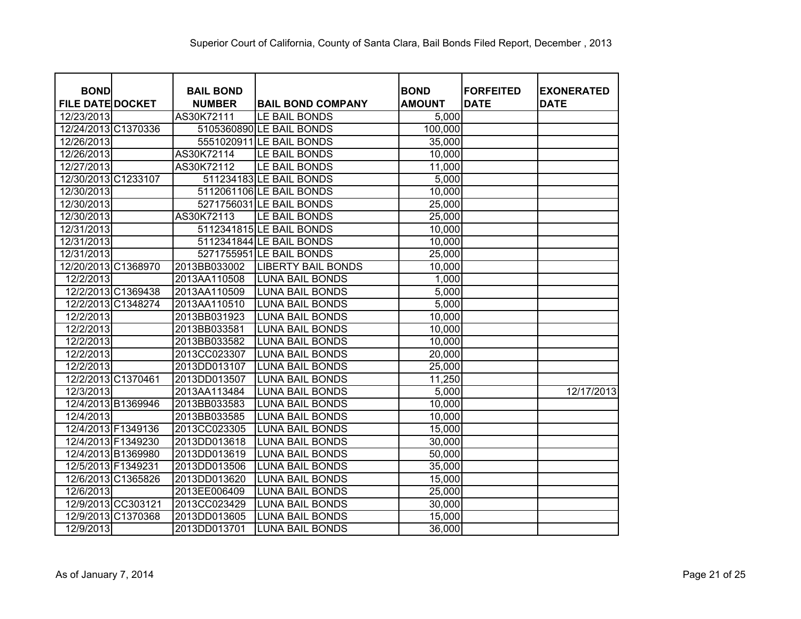| <b>BOND</b><br><b>FILE DATE DOCKET</b> | <b>BAIL BOND</b><br><b>NUMBER</b> | <b>BAIL BOND COMPANY</b>  | <b>BOND</b><br><b>AMOUNT</b> | <b>FORFEITED</b><br><b>DATE</b> | <b>EXONERATED</b><br><b>DATE</b> |
|----------------------------------------|-----------------------------------|---------------------------|------------------------------|---------------------------------|----------------------------------|
| 12/23/2013                             | AS30K72111                        | LE BAIL BONDS             | 5,000                        |                                 |                                  |
| 12/24/2013 C1370336                    |                                   | 5105360890 LE BAIL BONDS  | 100,000                      |                                 |                                  |
| 12/26/2013                             |                                   | 5551020911 LE BAIL BONDS  | 35,000                       |                                 |                                  |
| 12/26/2013                             | AS30K72114                        | LE BAIL BONDS             | 10,000                       |                                 |                                  |
| 12/27/2013                             | AS30K72112                        | LE BAIL BONDS             | 11,000                       |                                 |                                  |
| 12/30/2013 C1233107                    |                                   | 511234183 LE BAIL BONDS   | 5,000                        |                                 |                                  |
| 12/30/2013                             |                                   | 5112061106 LE BAIL BONDS  | 10,000                       |                                 |                                  |
| 12/30/2013                             |                                   | 5271756031 LE BAIL BONDS  | 25,000                       |                                 |                                  |
| 12/30/2013                             | AS30K72113                        | LE BAIL BONDS             | 25,000                       |                                 |                                  |
| 12/31/2013                             |                                   | 5112341815 LE BAIL BONDS  | 10,000                       |                                 |                                  |
| 12/31/2013                             |                                   | 5112341844 LE BAIL BONDS  | 10,000                       |                                 |                                  |
| 12/31/2013                             |                                   | 5271755951 LE BAIL BONDS  | 25,000                       |                                 |                                  |
| 12/20/2013 C1368970                    | 2013BB033002                      | <b>LIBERTY BAIL BONDS</b> | 10,000                       |                                 |                                  |
| 12/2/2013                              | 2013AA110508                      | <b>LUNA BAIL BONDS</b>    | 1,000                        |                                 |                                  |
| 12/2/2013 C1369438                     | 2013AA110509                      | <b>LUNA BAIL BONDS</b>    | 5,000                        |                                 |                                  |
| 12/2/2013 C1348274                     | 2013AA110510                      | <b>LUNA BAIL BONDS</b>    | 5,000                        |                                 |                                  |
| 12/2/2013                              | 2013BB031923                      | <b>LUNA BAIL BONDS</b>    | 10,000                       |                                 |                                  |
| 12/2/2013                              | 2013BB033581                      | <b>LUNA BAIL BONDS</b>    | 10,000                       |                                 |                                  |
| 12/2/2013                              | 2013BB033582                      | <b>LUNA BAIL BONDS</b>    | 10,000                       |                                 |                                  |
| 12/2/2013                              | 2013CC023307                      | <b>LUNA BAIL BONDS</b>    | 20,000                       |                                 |                                  |
| 12/2/2013                              | 2013DD013107                      | <b>LUNA BAIL BONDS</b>    | 25,000                       |                                 |                                  |
| 12/2/2013 C1370461                     | 2013DD013507                      | <b>LUNA BAIL BONDS</b>    | 11,250                       |                                 |                                  |
| 12/3/2013                              | 2013AA113484                      | <b>LUNA BAIL BONDS</b>    | 5,000                        |                                 | 12/17/2013                       |
| 12/4/2013 B1369946                     | 2013BB033583                      | <b>LUNA BAIL BONDS</b>    | 10,000                       |                                 |                                  |
| 12/4/2013                              | 2013BB033585                      | <b>LUNA BAIL BONDS</b>    | 10,000                       |                                 |                                  |
| 12/4/2013 F1349136                     | 2013CC023305                      | <b>LUNA BAIL BONDS</b>    | 15,000                       |                                 |                                  |
| 12/4/2013 F1349230                     | 2013DD013618                      | <b>LUNA BAIL BONDS</b>    | 30,000                       |                                 |                                  |
| 12/4/2013 B1369980                     | 2013DD013619                      | <b>LUNA BAIL BONDS</b>    | 50,000                       |                                 |                                  |
| 12/5/2013 F1349231                     | 2013DD013506                      | <b>LUNA BAIL BONDS</b>    | 35,000                       |                                 |                                  |
| 12/6/2013 C1365826                     | 2013DD013620                      | <b>LUNA BAIL BONDS</b>    | 15,000                       |                                 |                                  |
| 12/6/2013                              | 2013EE006409                      | <b>LUNA BAIL BONDS</b>    | 25,000                       |                                 |                                  |
| 12/9/2013 CC303121                     | 2013CC023429                      | <b>LUNA BAIL BONDS</b>    | 30,000                       |                                 |                                  |
| 12/9/2013 C1370368                     | 2013DD013605                      | <b>LUNA BAIL BONDS</b>    | 15,000                       |                                 |                                  |
| 12/9/2013                              | 2013DD013701                      | <b>LUNA BAIL BONDS</b>    | 36,000                       |                                 |                                  |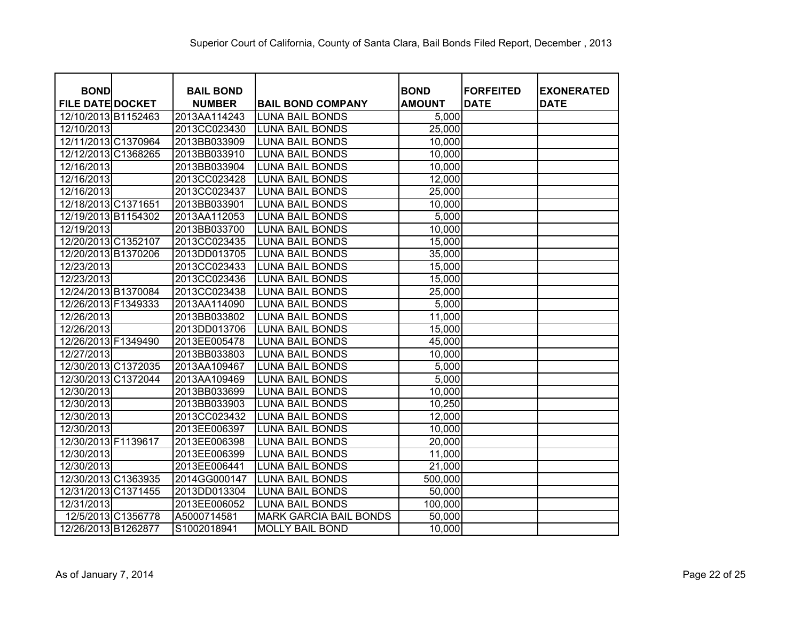| <b>BOND</b>             | <b>BAIL BOND</b> |                               | <b>BOND</b>   | <b>FORFEITED</b> | <b>EXONERATED</b> |
|-------------------------|------------------|-------------------------------|---------------|------------------|-------------------|
| <b>FILE DATE DOCKET</b> | <b>NUMBER</b>    | <b>BAIL BOND COMPANY</b>      | <b>AMOUNT</b> | <b>DATE</b>      | <b>DATE</b>       |
| 12/10/2013 B1152463     | 2013AA114243     | <b>LUNA BAIL BONDS</b>        | 5,000         |                  |                   |
| 12/10/2013              | 2013CC023430     | <b>LUNA BAIL BONDS</b>        | 25,000        |                  |                   |
| 12/11/2013 C1370964     | 2013BB033909     | <b>LUNA BAIL BONDS</b>        | 10,000        |                  |                   |
| 12/12/2013 C1368265     | 2013BB033910     | <b>LUNA BAIL BONDS</b>        | 10,000        |                  |                   |
| 12/16/2013              | 2013BB033904     | <b>LUNA BAIL BONDS</b>        | 10,000        |                  |                   |
| 12/16/2013              | 2013CC023428     | <b>LUNA BAIL BONDS</b>        | 12,000        |                  |                   |
| 12/16/2013              | 2013CC023437     | <b>LUNA BAIL BONDS</b>        | 25,000        |                  |                   |
| 12/18/2013 C1371651     | 2013BB033901     | <b>LUNA BAIL BONDS</b>        | 10,000        |                  |                   |
| 12/19/2013 B1154302     | 2013AA112053     | <b>LUNA BAIL BONDS</b>        | 5,000         |                  |                   |
| 12/19/2013              | 2013BB033700     | <b>LUNA BAIL BONDS</b>        | 10,000        |                  |                   |
| 12/20/2013 C1352107     | 2013CC023435     | <b>LUNA BAIL BONDS</b>        | 15,000        |                  |                   |
| 12/20/2013 B1370206     | 2013DD013705     | <b>LUNA BAIL BONDS</b>        | 35,000        |                  |                   |
| 12/23/2013              | 2013CC023433     | <b>LUNA BAIL BONDS</b>        | 15,000        |                  |                   |
| 12/23/2013              | 2013CC023436     | <b>LUNA BAIL BONDS</b>        | 15,000        |                  |                   |
| 12/24/2013 B1370084     | 2013CC023438     | <b>LUNA BAIL BONDS</b>        | 25,000        |                  |                   |
| 12/26/2013 F1349333     | 2013AA114090     | <b>LUNA BAIL BONDS</b>        | 5,000         |                  |                   |
| 12/26/2013              | 2013BB033802     | <b>LUNA BAIL BONDS</b>        | 11,000        |                  |                   |
| 12/26/2013              | 2013DD013706     | <b>LUNA BAIL BONDS</b>        | 15,000        |                  |                   |
| 12/26/2013 F1349490     | 2013EE005478     | <b>LUNA BAIL BONDS</b>        | 45,000        |                  |                   |
| 12/27/2013              | 2013BB033803     | <b>LUNA BAIL BONDS</b>        | 10,000        |                  |                   |
| 12/30/2013 C1372035     | 2013AA109467     | <b>LUNA BAIL BONDS</b>        | 5,000         |                  |                   |
| 12/30/2013 C1372044     | 2013AA109469     | <b>LUNA BAIL BONDS</b>        | 5,000         |                  |                   |
| 12/30/2013              | 2013BB033699     | <b>LUNA BAIL BONDS</b>        | 10,000        |                  |                   |
| 12/30/2013              | 2013BB033903     | <b>LUNA BAIL BONDS</b>        | 10,250        |                  |                   |
| 12/30/2013              | 2013CC023432     | <b>LUNA BAIL BONDS</b>        | 12,000        |                  |                   |
| 12/30/2013              | 2013EE006397     | <b>LUNA BAIL BONDS</b>        | 10,000        |                  |                   |
| 12/30/2013 F1139617     | 2013EE006398     | <b>LUNA BAIL BONDS</b>        | 20,000        |                  |                   |
| 12/30/2013              | 2013EE006399     | <b>LUNA BAIL BONDS</b>        | 11,000        |                  |                   |
| 12/30/2013              | 2013EE006441     | <b>LUNA BAIL BONDS</b>        | 21,000        |                  |                   |
| 12/30/2013 C1363935     | 2014GG000147     | <b>LUNA BAIL BONDS</b>        | 500,000       |                  |                   |
| 12/31/2013 C1371455     | 2013DD013304     | <b>LUNA BAIL BONDS</b>        | 50,000        |                  |                   |
| 12/31/2013              | 2013EE006052     | <b>LUNA BAIL BONDS</b>        | 100,000       |                  |                   |
| 12/5/2013 C1356778      | A5000714581      | <b>MARK GARCIA BAIL BONDS</b> | 50,000        |                  |                   |
| 12/26/2013 B1262877     | S1002018941      | <b>MOLLY BAIL BOND</b>        | 10,000        |                  |                   |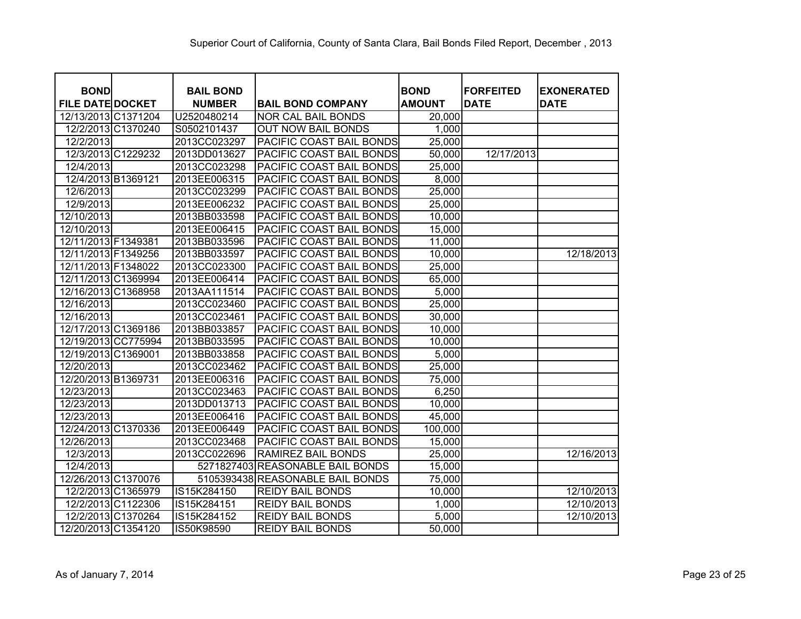| <b>BOND</b>             | <b>BAIL BOND</b> |                                  | <b>BOND</b>   | <b>FORFEITED</b> | <b>EXONERATED</b> |
|-------------------------|------------------|----------------------------------|---------------|------------------|-------------------|
| <b>FILE DATE DOCKET</b> | <b>NUMBER</b>    | <b>BAIL BOND COMPANY</b>         | <b>AMOUNT</b> | <b>DATE</b>      | <b>DATE</b>       |
| 12/13/2013 C1371204     | U2520480214      | <b>NOR CAL BAIL BONDS</b>        | 20,000        |                  |                   |
| 12/2/2013 C1370240      | S0502101437      | <b>OUT NOW BAIL BONDS</b>        | 1,000         |                  |                   |
| 12/2/2013               | 2013CC023297     | PACIFIC COAST BAIL BONDS         | 25,000        |                  |                   |
| 12/3/2013 C1229232      | 2013DD013627     | PACIFIC COAST BAIL BONDS         | 50,000        | 12/17/2013       |                   |
| 12/4/2013               | 2013CC023298     | PACIFIC COAST BAIL BONDS         | 25,000        |                  |                   |
| 12/4/2013 B1369121      | 2013EE006315     | PACIFIC COAST BAIL BONDS         | 8,000         |                  |                   |
| 12/6/2013               | 2013CC023299     | PACIFIC COAST BAIL BONDS         | 25,000        |                  |                   |
| 12/9/2013               | 2013EE006232     | PACIFIC COAST BAIL BONDS         | 25,000        |                  |                   |
| 12/10/2013              | 2013BB033598     | PACIFIC COAST BAIL BONDS         | 10,000        |                  |                   |
| 12/10/2013              | 2013EE006415     | PACIFIC COAST BAIL BONDS         | 15,000        |                  |                   |
| 12/11/2013 F1349381     | 2013BB033596     | PACIFIC COAST BAIL BONDS         | 11,000        |                  |                   |
| 12/11/2013 F1349256     | 2013BB033597     | PACIFIC COAST BAIL BONDS         | 10,000        |                  | 12/18/2013        |
| 12/11/2013 F1348022     | 2013CC023300     | PACIFIC COAST BAIL BONDS         | 25,000        |                  |                   |
| 12/11/2013 C1369994     | 2013EE006414     | PACIFIC COAST BAIL BONDS         | 65,000        |                  |                   |
| 12/16/2013 C1368958     | 2013AA111514     | PACIFIC COAST BAIL BONDS         | 5,000         |                  |                   |
| 12/16/2013              | 2013CC023460     | PACIFIC COAST BAIL BONDS         | 25,000        |                  |                   |
| 12/16/2013              | 2013CC023461     | PACIFIC COAST BAIL BONDS         | 30,000        |                  |                   |
| 12/17/2013 C1369186     | 2013BB033857     | PACIFIC COAST BAIL BONDS         | 10,000        |                  |                   |
| 12/19/2013 CC775994     | 2013BB033595     | PACIFIC COAST BAIL BONDS         | 10,000        |                  |                   |
| 12/19/2013 C1369001     | 2013BB033858     | PACIFIC COAST BAIL BONDS         | 5,000         |                  |                   |
| 12/20/2013              | 2013CC023462     | PACIFIC COAST BAIL BONDS         | 25,000        |                  |                   |
| 12/20/2013 B1369731     | 2013EE006316     | PACIFIC COAST BAIL BONDS         | 75,000        |                  |                   |
| 12/23/2013              | 2013CC023463     | PACIFIC COAST BAIL BONDS         | 6,250         |                  |                   |
| 12/23/2013              | 2013DD013713     | PACIFIC COAST BAIL BONDS         | 10,000        |                  |                   |
| 12/23/2013              | 2013EE006416     | PACIFIC COAST BAIL BONDS         | 45,000        |                  |                   |
| 12/24/2013 C1370336     | 2013EE006449     | PACIFIC COAST BAIL BONDS         | 100,000       |                  |                   |
| 12/26/2013              | 2013CC023468     | PACIFIC COAST BAIL BONDS         | 15,000        |                  |                   |
| 12/3/2013               | 2013CC022696     | RAMIREZ BAIL BONDS               | 25,000        |                  | 12/16/2013        |
| 12/4/2013               |                  | 5271827403 REASONABLE BAIL BONDS | 15,000        |                  |                   |
| 12/26/2013 C1370076     |                  | 5105393438 REASONABLE BAIL BONDS | 75,000        |                  |                   |
| 12/2/2013 C1365979      | IS15K284150      | <b>REIDY BAIL BONDS</b>          | 10,000        |                  | 12/10/2013        |
| 12/2/2013 C1122306      | IS15K284151      | <b>REIDY BAIL BONDS</b>          | 1,000         |                  | 12/10/2013        |
| 12/2/2013 C1370264      | IS15K284152      | <b>REIDY BAIL BONDS</b>          | 5,000         |                  | 12/10/2013        |
| 12/20/2013 C1354120     | IS50K98590       | <b>REIDY BAIL BONDS</b>          | 50,000        |                  |                   |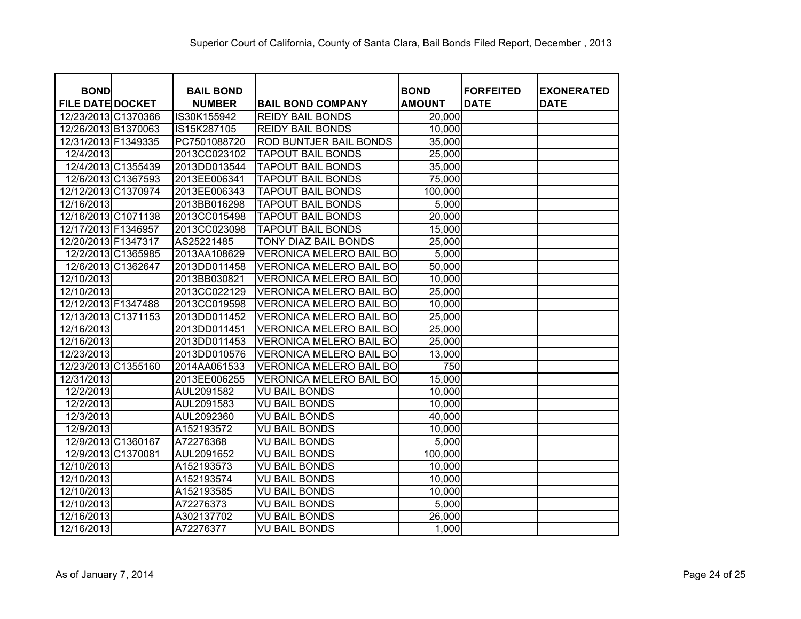| <b>BOND</b>             | <b>BAIL BOND</b> |                                | <b>BOND</b>   | <b>FORFEITED</b> | <b>EXONERATED</b> |
|-------------------------|------------------|--------------------------------|---------------|------------------|-------------------|
| <b>FILE DATE DOCKET</b> | <b>NUMBER</b>    | <b>BAIL BOND COMPANY</b>       | <b>AMOUNT</b> | <b>DATE</b>      | <b>DATE</b>       |
| 12/23/2013 C1370366     | IS30K155942      | <b>REIDY BAIL BONDS</b>        | 20,000        |                  |                   |
| 12/26/2013 B1370063     | IS15K287105      | <b>REIDY BAIL BONDS</b>        | 10,000        |                  |                   |
| 12/31/2013 F1349335     | PC7501088720     | ROD BUNTJER BAIL BONDS         | 35,000        |                  |                   |
| 12/4/2013               | 2013CC023102     | <b>TAPOUT BAIL BONDS</b>       | 25,000        |                  |                   |
| 12/4/2013 C1355439      | 2013DD013544     | <b>TAPOUT BAIL BONDS</b>       | 35,000        |                  |                   |
| 12/6/2013 C1367593      | 2013EE006341     | <b>TAPOUT BAIL BONDS</b>       | 75,000        |                  |                   |
| 12/12/2013 C1370974     | 2013EE006343     | <b>TAPOUT BAIL BONDS</b>       | 100,000       |                  |                   |
| 12/16/2013              | 2013BB016298     | <b>TAPOUT BAIL BONDS</b>       | 5,000         |                  |                   |
| 12/16/2013 C1071138     | 2013CC015498     | <b>TAPOUT BAIL BONDS</b>       | 20,000        |                  |                   |
| 12/17/2013 F1346957     | 2013CC023098     | <b>TAPOUT BAIL BONDS</b>       | 15,000        |                  |                   |
| 12/20/2013 F1347317     | AS25221485       | TONY DIAZ BAIL BONDS           | 25,000        |                  |                   |
| 12/2/2013 C1365985      | 2013AA108629     | VERONICA MELERO BAIL BO        | 5,000         |                  |                   |
| 12/6/2013 C1362647      | 2013DD011458     | <b>VERONICA MELERO BAIL BO</b> | 50,000        |                  |                   |
| 12/10/2013              | 2013BB030821     | <b>VERONICA MELERO BAIL BO</b> | 10,000        |                  |                   |
| 12/10/2013              | 2013CC022129     | <b>VERONICA MELERO BAIL BO</b> | 25,000        |                  |                   |
| 12/12/2013 F1347488     | 2013CC019598     | <b>VERONICA MELERO BAIL BO</b> | 10,000        |                  |                   |
| 12/13/2013 C1371153     | 2013DD011452     | <b>VERONICA MELERO BAIL BO</b> | 25,000        |                  |                   |
| 12/16/2013              | 2013DD011451     | <b>VERONICA MELERO BAIL BO</b> | 25,000        |                  |                   |
| 12/16/2013              | 2013DD011453     | <b>VERONICA MELERO BAIL BO</b> | 25,000        |                  |                   |
| 12/23/2013              | 2013DD010576     | <b>VERONICA MELERO BAIL BO</b> | 13,000        |                  |                   |
| 12/23/2013 C1355160     | 2014AA061533     | <b>VERONICA MELERO BAIL BO</b> | 750           |                  |                   |
| 12/31/2013              | 2013EE006255     | <b>VERONICA MELERO BAIL BO</b> | 15,000        |                  |                   |
| 12/2/2013               | AUL2091582       | <b>VU BAIL BONDS</b>           | 10,000        |                  |                   |
| 12/2/2013               | AUL2091583       | <b>VU BAIL BONDS</b>           | 10,000        |                  |                   |
| 12/3/2013               | AUL2092360       | <b>VU BAIL BONDS</b>           | 40,000        |                  |                   |
| 12/9/2013               | A152193572       | <b>VU BAIL BONDS</b>           | 10,000        |                  |                   |
| 12/9/2013 C1360167      | A72276368        | <b>VU BAIL BONDS</b>           | 5,000         |                  |                   |
| 12/9/2013 C1370081      | AUL2091652       | <b>VU BAIL BONDS</b>           | 100,000       |                  |                   |
| 12/10/2013              | A152193573       | <b>VU BAIL BONDS</b>           | 10,000        |                  |                   |
| 12/10/2013              | A152193574       | <b>VU BAIL BONDS</b>           | 10,000        |                  |                   |
| 12/10/2013              | A152193585       | <b>VU BAIL BONDS</b>           | 10,000        |                  |                   |
| 12/10/2013              | A72276373        | <b>VU BAIL BONDS</b>           | 5,000         |                  |                   |
| $\overline{12}/16/2013$ | A302137702       | <b>VU BAIL BONDS</b>           | 26,000        |                  |                   |
| 12/16/2013              | A72276377        | VU BAIL BONDS                  | 1,000         |                  |                   |